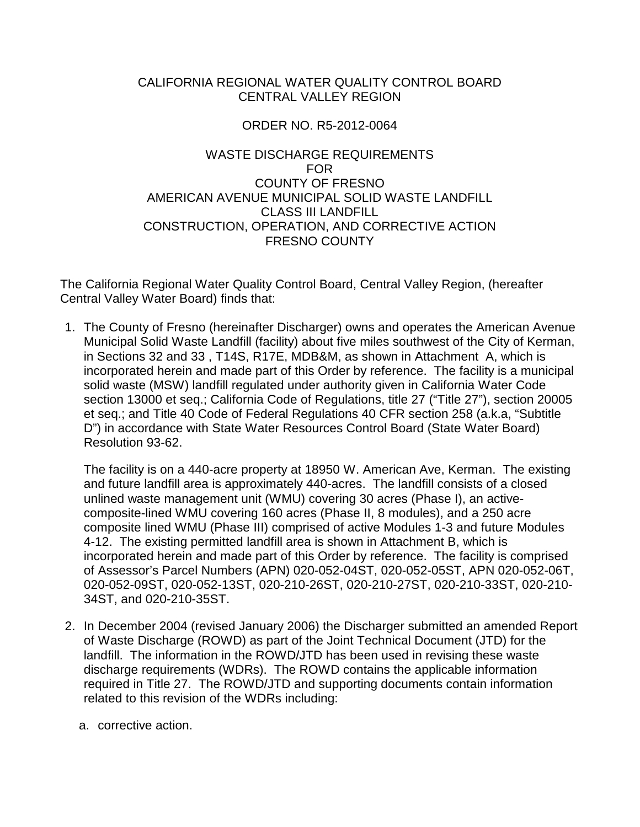## CALIFORNIA REGIONAL WATER QUALITY CONTROL BOARD CENTRAL VALLEY REGION

## ORDER NO. R5-2012-0064

## WASTE DISCHARGE REQUIREMENTS FOR COUNTY OF FRESNO AMERICAN AVENUE MUNICIPAL SOLID WASTE LANDFILL CLASS III LANDFILL CONSTRUCTION, OPERATION, AND CORRECTIVE ACTION FRESNO COUNTY

The California Regional Water Quality Control Board, Central Valley Region, (hereafter Central Valley Water Board) finds that:

1. The County of Fresno (hereinafter Discharger) owns and operates the American Avenue Municipal Solid Waste Landfill (facility) about five miles southwest of the City of Kerman, in Sections 32 and 33 , T14S, R17E, MDB&M, as shown in Attachment A, which is incorporated herein and made part of this Order by reference. The facility is a municipal solid waste (MSW) landfill regulated under authority given in California Water Code section 13000 et seq.; California Code of Regulations, title 27 ("Title 27"), section 20005 et seq.; and Title 40 Code of Federal Regulations 40 CFR section 258 (a.k.a, "Subtitle D") in accordance with State Water Resources Control Board (State Water Board) Resolution 93-62.

The facility is on a 440-acre property at 18950 W. American Ave, Kerman. The existing and future landfill area is approximately 440-acres. The landfill consists of a closed unlined waste management unit (WMU) covering 30 acres (Phase I), an activecomposite-lined WMU covering 160 acres (Phase II, 8 modules), and a 250 acre composite lined WMU (Phase III) comprised of active Modules 1-3 and future Modules 4-12. The existing permitted landfill area is shown in Attachment B, which is incorporated herein and made part of this Order by reference. The facility is comprised of Assessor's Parcel Numbers (APN) 020-052-04ST, 020-052-05ST, APN 020-052-06T, 020-052-09ST, 020-052-13ST, 020-210-26ST, 020-210-27ST, 020-210-33ST, 020-210- 34ST, and 020-210-35ST.

- 2. In December 2004 (revised January 2006) the Discharger submitted an amended Report of Waste Discharge (ROWD) as part of the Joint Technical Document (JTD) for the landfill. The information in the ROWD/JTD has been used in revising these waste discharge requirements (WDRs). The ROWD contains the applicable information required in Title 27. The ROWD/JTD and supporting documents contain information related to this revision of the WDRs including:
	- a. corrective action.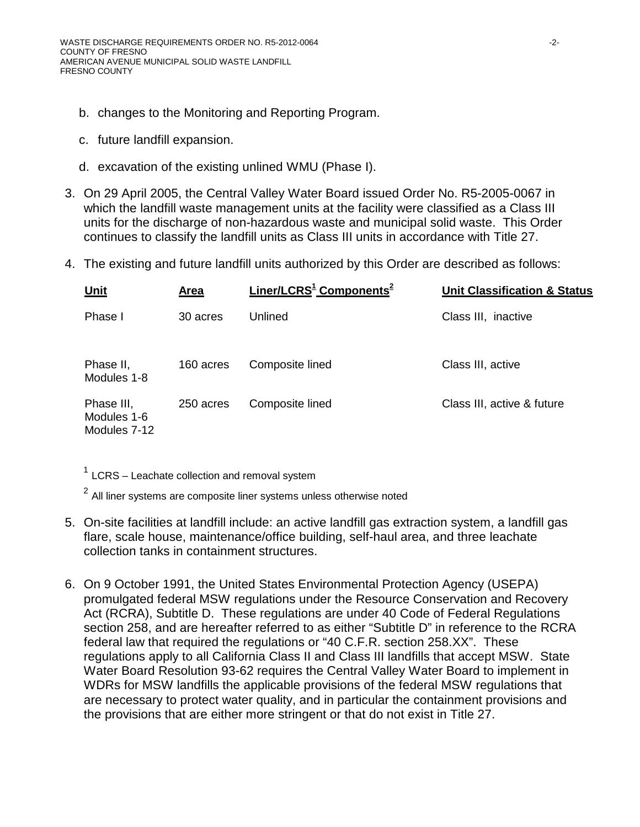- b. changes to the Monitoring and Reporting Program.
- c. future landfill expansion.
- d. excavation of the existing unlined WMU (Phase I).
- 3. On 29 April 2005, the Central Valley Water Board issued Order No. R5-2005-0067 in which the landfill waste management units at the facility were classified as a Class III units for the discharge of non-hazardous waste and municipal solid waste. This Order continues to classify the landfill units as Class III units in accordance with Title 27.
- <span id="page-1-0"></span>4. The existing and future landfill units authorized by this Order are described as follows:

| <b>Unit</b>                               | Area      | Liner/LCRS <sup>1</sup> Components <sup>2</sup> | <b>Unit Classification &amp; Status</b> |
|-------------------------------------------|-----------|-------------------------------------------------|-----------------------------------------|
| Phase I                                   | 30 acres  | Unlined                                         | Class III, inactive                     |
| Phase II,<br>Modules 1-8                  | 160 acres | Composite lined                                 | Class III, active                       |
| Phase III,<br>Modules 1-6<br>Modules 7-12 | 250 acres | Composite lined                                 | Class III, active & future              |

 $1$  LCRS – Leachate collection and removal system

 $2$  All liner systems are composite liner systems unless otherwise noted

- 5. On-site facilities at landfill include: an active landfill gas extraction system, a landfill gas flare, scale house, maintenance/office building, self-haul area, and three leachate collection tanks in containment structures.
- 6. On 9 October 1991, the United States Environmental Protection Agency (USEPA) promulgated federal MSW regulations under the Resource Conservation and Recovery Act (RCRA), Subtitle D. These regulations are under 40 Code of Federal Regulations section 258, and are hereafter referred to as either "Subtitle D" in reference to the RCRA federal law that required the regulations or "40 C.F.R. section 258.XX". These regulations apply to all California Class II and Class III landfills that accept MSW. State Water Board Resolution 93-62 requires the Central Valley Water Board to implement in WDRs for MSW landfills the applicable provisions of the federal MSW regulations that are necessary to protect water quality, and in particular the containment provisions and the provisions that are either more stringent or that do not exist in Title 27.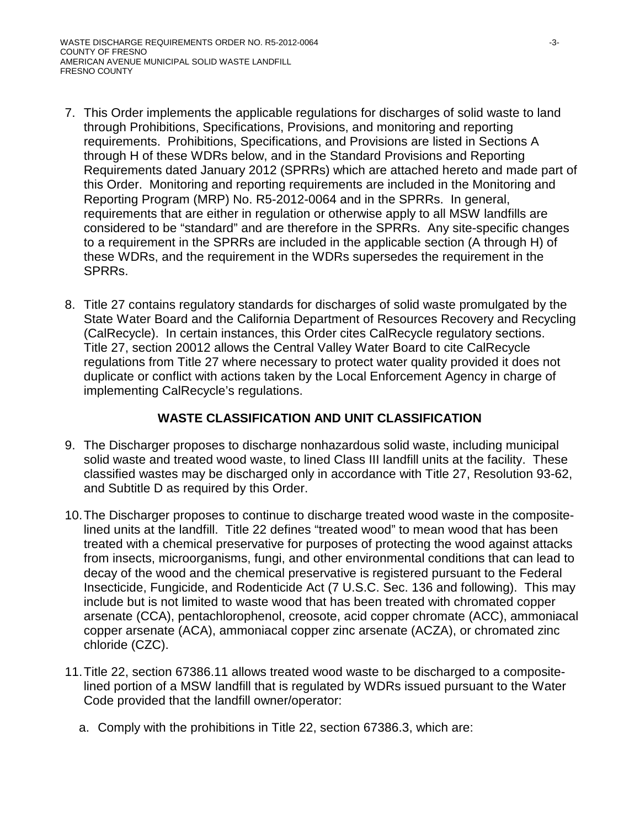- 7. This Order implements the applicable regulations for discharges of solid waste to land through Prohibitions, Specifications, Provisions, and monitoring and reporting requirements. Prohibitions, Specifications, and Provisions are listed in Sections A through H of these WDRs below, and in the Standard Provisions and Reporting Requirements dated January 2012 (SPRRs) which are attached hereto and made part of this Order. Monitoring and reporting requirements are included in the Monitoring and Reporting Program (MRP) No. R5-2012-0064 and in the SPRRs. In general, requirements that are either in regulation or otherwise apply to all MSW landfills are considered to be "standard" and are therefore in the SPRRs. Any site-specific changes to a requirement in the SPRRs are included in the applicable section (A through H) of these WDRs, and the requirement in the WDRs supersedes the requirement in the SPRRs.
- 8. Title 27 contains regulatory standards for discharges of solid waste promulgated by the State Water Board and the California Department of Resources Recovery and Recycling (CalRecycle). In certain instances, this Order cites CalRecycle regulatory sections. Title 27, section 20012 allows the Central Valley Water Board to cite CalRecycle regulations from Title 27 where necessary to protect water quality provided it does not duplicate or conflict with actions taken by the Local Enforcement Agency in charge of implementing CalRecycle's regulations.

# **WASTE CLASSIFICATION AND UNIT CLASSIFICATION**

- 9. The Discharger proposes to discharge nonhazardous solid waste, including municipal solid waste and treated wood waste, to lined Class III landfill units at the facility. These classified wastes may be discharged only in accordance with Title 27, Resolution 93-62, and Subtitle D as required by this Order.
- 10.The Discharger proposes to continue to discharge treated wood waste in the compositelined units at the landfill. Title 22 defines "treated wood" to mean wood that has been treated with a chemical preservative for purposes of protecting the wood against attacks from insects, microorganisms, fungi, and other environmental conditions that can lead to decay of the wood and the chemical preservative is registered pursuant to the Federal Insecticide, Fungicide, and Rodenticide Act (7 U.S.C. Sec. 136 and following). This may include but is not limited to waste wood that has been treated with chromated copper arsenate (CCA), pentachlorophenol, creosote, acid copper chromate (ACC), ammoniacal copper arsenate (ACA), ammoniacal copper zinc arsenate (ACZA), or chromated zinc chloride (CZC).
- 11.Title 22, section 67386.11 allows treated wood waste to be discharged to a compositelined portion of a MSW landfill that is regulated by WDRs issued pursuant to the Water Code provided that the landfill owner/operator:
	- a. Comply with the prohibitions in Title 22, section 67386.3, which are: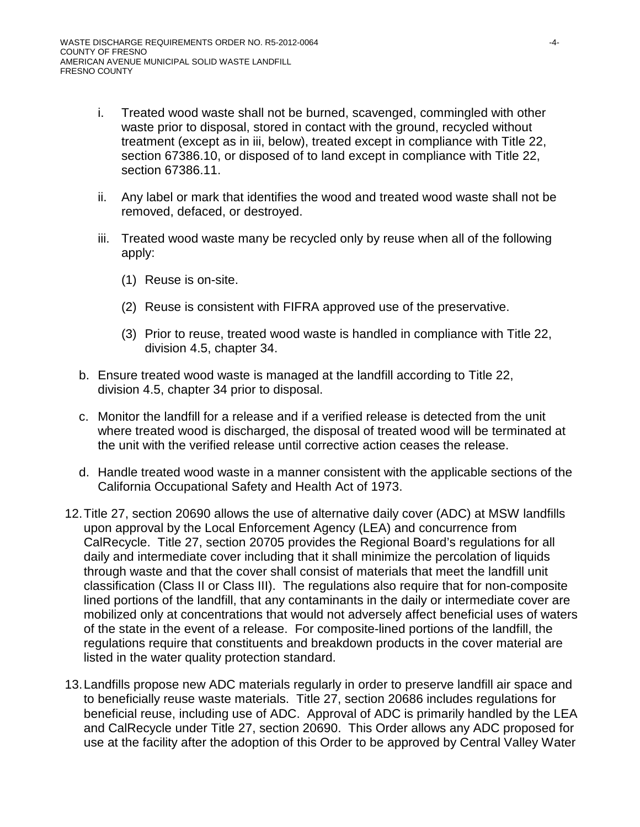- i. Treated wood waste shall not be burned, scavenged, commingled with other waste prior to disposal, stored in contact with the ground, recycled without treatment (except as in iii, below), treated except in compliance with Title 22, section 67386.10, or disposed of to land except in compliance with Title 22, section 67386.11.
- ii. Any label or mark that identifies the wood and treated wood waste shall not be removed, defaced, or destroyed.
- iii. Treated wood waste many be recycled only by reuse when all of the following apply:
	- (1) Reuse is on-site.
	- (2) Reuse is consistent with FIFRA approved use of the preservative.
	- (3) Prior to reuse, treated wood waste is handled in compliance with Title 22, division 4.5, chapter 34.
- b. Ensure treated wood waste is managed at the landfill according to Title 22, division 4.5, chapter 34 prior to disposal.
- c. Monitor the landfill for a release and if a verified release is detected from the unit where treated wood is discharged, the disposal of treated wood will be terminated at the unit with the verified release until corrective action ceases the release.
- d. Handle treated wood waste in a manner consistent with the applicable sections of the California Occupational Safety and Health Act of 1973.
- 12.Title 27, section 20690 allows the use of alternative daily cover (ADC) at MSW landfills upon approval by the Local Enforcement Agency (LEA) and concurrence from CalRecycle. Title 27, section 20705 provides the Regional Board's regulations for all daily and intermediate cover including that it shall minimize the percolation of liquids through waste and that the cover shall consist of materials that meet the landfill unit classification (Class II or Class III). The regulations also require that for non-composite lined portions of the landfill, that any contaminants in the daily or intermediate cover are mobilized only at concentrations that would not adversely affect beneficial uses of waters of the state in the event of a release. For composite-lined portions of the landfill, the regulations require that constituents and breakdown products in the cover material are listed in the water quality protection standard.
- 13.Landfills propose new ADC materials regularly in order to preserve landfill air space and to beneficially reuse waste materials. Title 27, section 20686 includes regulations for beneficial reuse, including use of ADC. Approval of ADC is primarily handled by the LEA and CalRecycle under Title 27, section 20690. This Order allows any ADC proposed for use at the facility after the adoption of this Order to be approved by Central Valley Water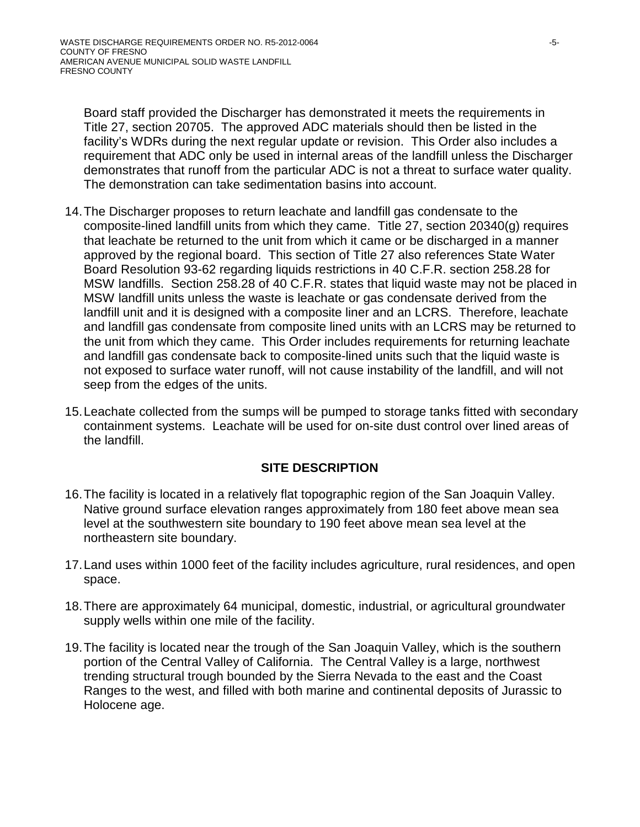Board staff provided the Discharger has demonstrated it meets the requirements in Title 27, section 20705. The approved ADC materials should then be listed in the facility's WDRs during the next regular update or revision. This Order also includes a requirement that ADC only be used in internal areas of the landfill unless the Discharger demonstrates that runoff from the particular ADC is not a threat to surface water quality. The demonstration can take sedimentation basins into account.

- 14.The Discharger proposes to return leachate and landfill gas condensate to the composite-lined landfill units from which they came. Title 27, section 20340(g) requires that leachate be returned to the unit from which it came or be discharged in a manner approved by the regional board. This section of Title 27 also references State Water Board Resolution 93-62 regarding liquids restrictions in 40 C.F.R. section 258.28 for MSW landfills. Section 258.28 of 40 C.F.R. states that liquid waste may not be placed in MSW landfill units unless the waste is leachate or gas condensate derived from the landfill unit and it is designed with a composite liner and an LCRS. Therefore, leachate and landfill gas condensate from composite lined units with an LCRS may be returned to the unit from which they came. This Order includes requirements for returning leachate and landfill gas condensate back to composite-lined units such that the liquid waste is not exposed to surface water runoff, will not cause instability of the landfill, and will not seep from the edges of the units.
- 15.Leachate collected from the sumps will be pumped to storage tanks fitted with secondary containment systems. Leachate will be used for on-site dust control over lined areas of the landfill.

# **SITE DESCRIPTION**

- 16.The facility is located in a relatively flat topographic region of the San Joaquin Valley. Native ground surface elevation ranges approximately from 180 feet above mean sea level at the southwestern site boundary to 190 feet above mean sea level at the northeastern site boundary.
- 17.Land uses within 1000 feet of the facility includes agriculture, rural residences, and open space.
- 18.There are approximately 64 municipal, domestic, industrial, or agricultural groundwater supply wells within one mile of the facility.
- 19.The facility is located near the trough of the San Joaquin Valley, which is the southern portion of the Central Valley of California. The Central Valley is a large, northwest trending structural trough bounded by the Sierra Nevada to the east and the Coast Ranges to the west, and filled with both marine and continental deposits of Jurassic to Holocene age.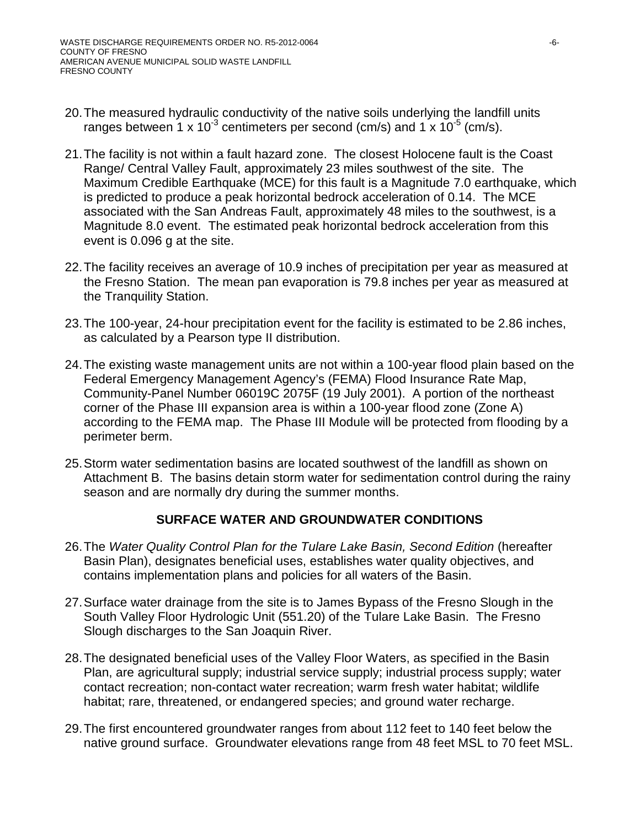- 20.The measured hydraulic conductivity of the native soils underlying the landfill units ranges between 1 x 10<sup>-3</sup> centimeters per second (cm/s) and 1 x 10<sup>-5</sup> (cm/s).
- 21.The facility is not within a fault hazard zone. The closest Holocene fault is the Coast Range/ Central Valley Fault, approximately 23 miles southwest of the site. The Maximum Credible Earthquake (MCE) for this fault is a Magnitude 7.0 earthquake, which is predicted to produce a peak horizontal bedrock acceleration of 0.14. The MCE associated with the San Andreas Fault, approximately 48 miles to the southwest, is a Magnitude 8.0 event. The estimated peak horizontal bedrock acceleration from this event is 0.096 g at the site.
- 22.The facility receives an average of 10.9 inches of precipitation per year as measured at the Fresno Station. The mean pan evaporation is 79.8 inches per year as measured at the Tranquility Station.
- 23.The 100-year, 24-hour precipitation event for the facility is estimated to be 2.86 inches, as calculated by a Pearson type II distribution.
- 24.The existing waste management units are not within a 100-year flood plain based on the Federal Emergency Management Agency's (FEMA) Flood Insurance Rate Map, Community-Panel Number 06019C 2075F (19 July 2001). A portion of the northeast corner of the Phase III expansion area is within a 100-year flood zone (Zone A) according to the FEMA map. The Phase III Module will be protected from flooding by a perimeter berm.
- 25.Storm water sedimentation basins are located southwest of the landfill as shown on Attachment B. The basins detain storm water for sedimentation control during the rainy season and are normally dry during the summer months.

## **SURFACE WATER AND GROUNDWATER CONDITIONS**

- 26.The *Water Quality Control Plan for the Tulare Lake Basin, Second Edition* (hereafter Basin Plan), designates beneficial uses, establishes water quality objectives, and contains implementation plans and policies for all waters of the Basin.
- 27.Surface water drainage from the site is to James Bypass of the Fresno Slough in the South Valley Floor Hydrologic Unit (551.20) of the Tulare Lake Basin. The Fresno Slough discharges to the San Joaquin River.
- 28.The designated beneficial uses of the Valley Floor Waters, as specified in the Basin Plan, are agricultural supply; industrial service supply; industrial process supply; water contact recreation; non-contact water recreation; warm fresh water habitat; wildlife habitat; rare, threatened, or endangered species; and ground water recharge.
- 29.The first encountered groundwater ranges from about 112 feet to 140 feet below the native ground surface. Groundwater elevations range from 48 feet MSL to 70 feet MSL.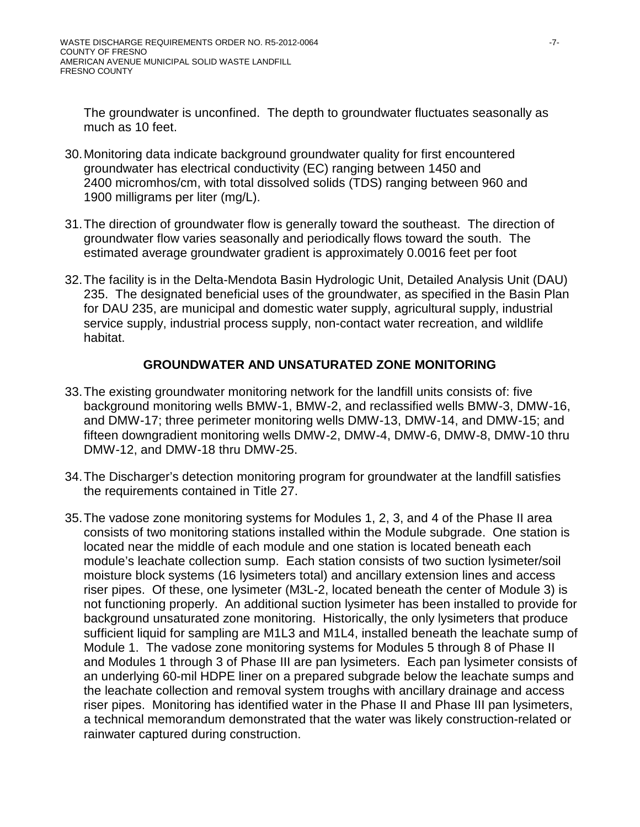The groundwater is unconfined. The depth to groundwater fluctuates seasonally as much as 10 feet.

- 30.Monitoring data indicate background groundwater quality for first encountered groundwater has electrical conductivity (EC) ranging between 1450 and 2400 micromhos/cm, with total dissolved solids (TDS) ranging between 960 and 1900 milligrams per liter (mg/L).
- 31.The direction of groundwater flow is generally toward the southeast. The direction of groundwater flow varies seasonally and periodically flows toward the south. The estimated average groundwater gradient is approximately 0.0016 feet per foot
- 32.The facility is in the Delta-Mendota Basin Hydrologic Unit, Detailed Analysis Unit (DAU) 235. The designated beneficial uses of the groundwater, as specified in the Basin Plan for DAU 235, are municipal and domestic water supply, agricultural supply, industrial service supply, industrial process supply, non-contact water recreation, and wildlife habitat.

# **GROUNDWATER AND UNSATURATED ZONE MONITORING**

- 33.The existing groundwater monitoring network for the landfill units consists of: five background monitoring wells BMW-1, BMW-2, and reclassified wells BMW-3, DMW-16, and DMW-17; three perimeter monitoring wells DMW-13, DMW-14, and DMW-15; and fifteen downgradient monitoring wells DMW-2, DMW-4, DMW-6, DMW-8, DMW-10 thru DMW-12, and DMW-18 thru DMW-25.
- 34.The Discharger's detection monitoring program for groundwater at the landfill satisfies the requirements contained in Title 27.
- 35.The vadose zone monitoring systems for Modules 1, 2, 3, and 4 of the Phase II area consists of two monitoring stations installed within the Module subgrade. One station is located near the middle of each module and one station is located beneath each module's leachate collection sump. Each station consists of two suction lysimeter/soil moisture block systems (16 lysimeters total) and ancillary extension lines and access riser pipes. Of these, one lysimeter (M3L-2, located beneath the center of Module 3) is not functioning properly. An additional suction lysimeter has been installed to provide for background unsaturated zone monitoring. Historically, the only lysimeters that produce sufficient liquid for sampling are M1L3 and M1L4, installed beneath the leachate sump of Module 1. The vadose zone monitoring systems for Modules 5 through 8 of Phase II and Modules 1 through 3 of Phase III are pan lysimeters. Each pan lysimeter consists of an underlying 60-mil HDPE liner on a prepared subgrade below the leachate sumps and the leachate collection and removal system troughs with ancillary drainage and access riser pipes. Monitoring has identified water in the Phase II and Phase III pan lysimeters, a technical memorandum demonstrated that the water was likely construction-related or rainwater captured during construction.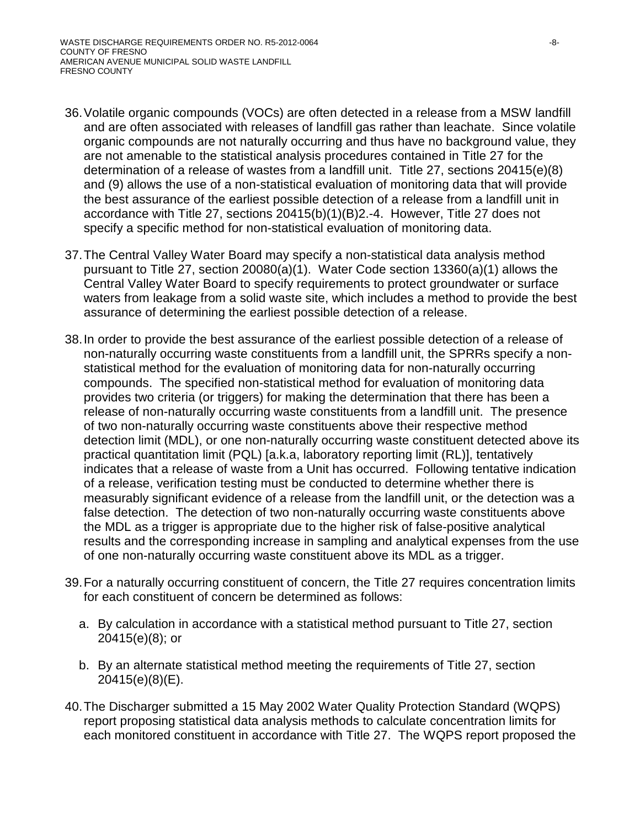- 36.Volatile organic compounds (VOCs) are often detected in a release from a MSW landfill and are often associated with releases of landfill gas rather than leachate. Since volatile organic compounds are not naturally occurring and thus have no background value, they are not amenable to the statistical analysis procedures contained in Title 27 for the determination of a release of wastes from a landfill unit. Title 27, sections 20415(e)(8) and (9) allows the use of a non-statistical evaluation of monitoring data that will provide the best assurance of the earliest possible detection of a release from a landfill unit in accordance with Title 27, sections 20415(b)(1)(B)2.-4. However, Title 27 does not specify a specific method for non-statistical evaluation of monitoring data.
- 37.The Central Valley Water Board may specify a non-statistical data analysis method pursuant to Title 27, section 20080(a)(1). Water Code section 13360(a)(1) allows the Central Valley Water Board to specify requirements to protect groundwater or surface waters from leakage from a solid waste site, which includes a method to provide the best assurance of determining the earliest possible detection of a release.
- 38.In order to provide the best assurance of the earliest possible detection of a release of non-naturally occurring waste constituents from a landfill unit, the SPRRs specify a nonstatistical method for the evaluation of monitoring data for non-naturally occurring compounds. The specified non-statistical method for evaluation of monitoring data provides two criteria (or triggers) for making the determination that there has been a release of non-naturally occurring waste constituents from a landfill unit. The presence of two non-naturally occurring waste constituents above their respective method detection limit (MDL), or one non-naturally occurring waste constituent detected above its practical quantitation limit (PQL) [a.k.a, laboratory reporting limit (RL)], tentatively indicates that a release of waste from a Unit has occurred. Following tentative indication of a release, verification testing must be conducted to determine whether there is measurably significant evidence of a release from the landfill unit, or the detection was a false detection. The detection of two non-naturally occurring waste constituents above the MDL as a trigger is appropriate due to the higher risk of false-positive analytical results and the corresponding increase in sampling and analytical expenses from the use of one non-naturally occurring waste constituent above its MDL as a trigger.
- 39.For a naturally occurring constituent of concern, the Title 27 requires concentration limits for each constituent of concern be determined as follows:
	- a. By calculation in accordance with a statistical method pursuant to Title 27, section 20415(e)(8); or
	- b. By an alternate statistical method meeting the requirements of Title 27, section 20415(e)(8)(E).
- 40.The Discharger submitted a 15 May 2002 Water Quality Protection Standard (WQPS) report proposing statistical data analysis methods to calculate concentration limits for each monitored constituent in accordance with Title 27. The WQPS report proposed the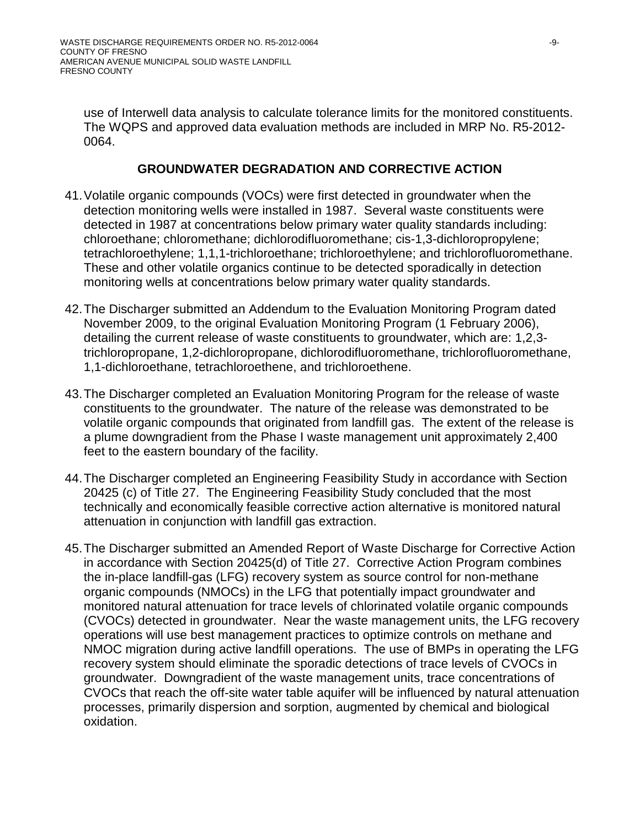use of Interwell data analysis to calculate tolerance limits for the monitored constituents. The WQPS and approved data evaluation methods are included in MRP No. R5-2012- 0064.

## **GROUNDWATER DEGRADATION AND CORRECTIVE ACTION**

- 41.Volatile organic compounds (VOCs) were first detected in groundwater when the detection monitoring wells were installed in 1987. Several waste constituents were detected in 1987 at concentrations below primary water quality standards including: chloroethane; chloromethane; dichlorodifluoromethane; cis-1,3-dichloropropylene; tetrachloroethylene; 1,1,1-trichloroethane; trichloroethylene; and trichlorofluoromethane. These and other volatile organics continue to be detected sporadically in detection monitoring wells at concentrations below primary water quality standards.
- 42.The Discharger submitted an Addendum to the Evaluation Monitoring Program dated November 2009, to the original Evaluation Monitoring Program (1 February 2006), detailing the current release of waste constituents to groundwater, which are: 1,2,3 trichloropropane, 1,2-dichloropropane, dichlorodifluoromethane, trichlorofluoromethane, 1,1-dichloroethane, tetrachloroethene, and trichloroethene.
- 43.The Discharger completed an Evaluation Monitoring Program for the release of waste constituents to the groundwater. The nature of the release was demonstrated to be volatile organic compounds that originated from landfill gas. The extent of the release is a plume downgradient from the Phase I waste management unit approximately 2,400 feet to the eastern boundary of the facility.
- 44.The Discharger completed an Engineering Feasibility Study in accordance with Section 20425 (c) of Title 27. The Engineering Feasibility Study concluded that the most technically and economically feasible corrective action alternative is monitored natural attenuation in conjunction with landfill gas extraction.
- 45.The Discharger submitted an Amended Report of Waste Discharge for Corrective Action in accordance with Section 20425(d) of Title 27. Corrective Action Program combines the in-place landfill-gas (LFG) recovery system as source control for non-methane organic compounds (NMOCs) in the LFG that potentially impact groundwater and monitored natural attenuation for trace levels of chlorinated volatile organic compounds (CVOCs) detected in groundwater. Near the waste management units, the LFG recovery operations will use best management practices to optimize controls on methane and NMOC migration during active landfill operations. The use of BMPs in operating the LFG recovery system should eliminate the sporadic detections of trace levels of CVOCs in groundwater. Downgradient of the waste management units, trace concentrations of CVOCs that reach the off-site water table aquifer will be influenced by natural attenuation processes, primarily dispersion and sorption, augmented by chemical and biological oxidation.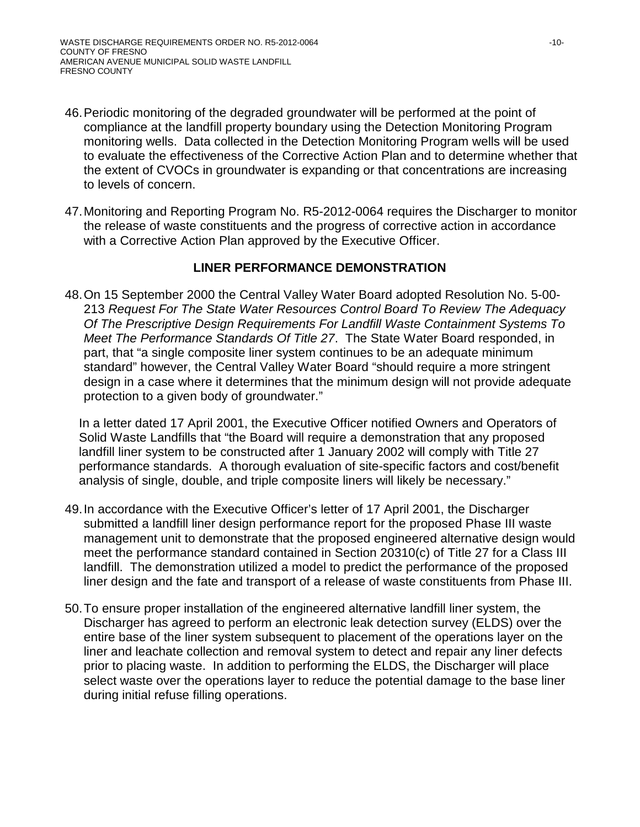- 46.Periodic monitoring of the degraded groundwater will be performed at the point of compliance at the landfill property boundary using the Detection Monitoring Program monitoring wells. Data collected in the Detection Monitoring Program wells will be used to evaluate the effectiveness of the Corrective Action Plan and to determine whether that the extent of CVOCs in groundwater is expanding or that concentrations are increasing to levels of concern.
- 47.Monitoring and Reporting Program No. R5-2012-0064 requires the Discharger to monitor the release of waste constituents and the progress of corrective action in accordance with a Corrective Action Plan approved by the Executive Officer.

## **LINER PERFORMANCE DEMONSTRATION**

48.On 15 September 2000 the Central Valley Water Board adopted Resolution No. 5-00- 213 *Request For The State Water Resources Control Board To Review The Adequacy Of The Prescriptive Design Requirements For Landfill Waste Containment Systems To Meet The Performance Standards Of Title 27*. The State Water Board responded, in part, that "a single composite liner system continues to be an adequate minimum standard" however, the Central Valley Water Board "should require a more stringent design in a case where it determines that the minimum design will not provide adequate protection to a given body of groundwater."

In a letter dated 17 April 2001, the Executive Officer notified Owners and Operators of Solid Waste Landfills that "the Board will require a demonstration that any proposed landfill liner system to be constructed after 1 January 2002 will comply with Title 27 performance standards. A thorough evaluation of site-specific factors and cost/benefit analysis of single, double, and triple composite liners will likely be necessary."

- 49.In accordance with the Executive Officer's letter of 17 April 2001, the Discharger submitted a landfill liner design performance report for the proposed Phase III waste management unit to demonstrate that the proposed engineered alternative design would meet the performance standard contained in Section 20310(c) of Title 27 for a Class III landfill. The demonstration utilized a model to predict the performance of the proposed liner design and the fate and transport of a release of waste constituents from Phase III.
- 50.To ensure proper installation of the engineered alternative landfill liner system, the Discharger has agreed to perform an electronic leak detection survey (ELDS) over the entire base of the liner system subsequent to placement of the operations layer on the liner and leachate collection and removal system to detect and repair any liner defects prior to placing waste. In addition to performing the ELDS, the Discharger will place select waste over the operations layer to reduce the potential damage to the base liner during initial refuse filling operations.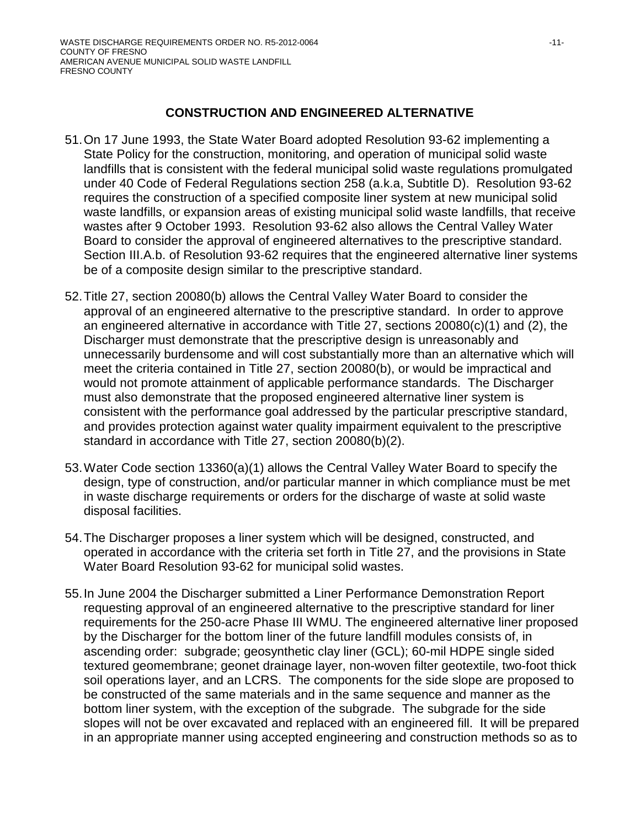## **CONSTRUCTION AND ENGINEERED ALTERNATIVE**

- 51.On 17 June 1993, the State Water Board adopted Resolution 93-62 implementing a State Policy for the construction, monitoring, and operation of municipal solid waste landfills that is consistent with the federal municipal solid waste regulations promulgated under 40 Code of Federal Regulations section 258 (a.k.a, Subtitle D). Resolution 93-62 requires the construction of a specified composite liner system at new municipal solid waste landfills, or expansion areas of existing municipal solid waste landfills, that receive wastes after 9 October 1993. Resolution 93-62 also allows the Central Valley Water Board to consider the approval of engineered alternatives to the prescriptive standard. Section III.A.b. of Resolution 93-62 requires that the engineered alternative liner systems be of a composite design similar to the prescriptive standard.
- 52.Title 27, section 20080(b) allows the Central Valley Water Board to consider the approval of an engineered alternative to the prescriptive standard. In order to approve an engineered alternative in accordance with Title 27, sections 20080(c)(1) and (2), the Discharger must demonstrate that the prescriptive design is unreasonably and unnecessarily burdensome and will cost substantially more than an alternative which will meet the criteria contained in Title 27, section 20080(b), or would be impractical and would not promote attainment of applicable performance standards. The Discharger must also demonstrate that the proposed engineered alternative liner system is consistent with the performance goal addressed by the particular prescriptive standard, and provides protection against water quality impairment equivalent to the prescriptive standard in accordance with Title 27, section 20080(b)(2).
- 53.Water Code section 13360(a)(1) allows the Central Valley Water Board to specify the design, type of construction, and/or particular manner in which compliance must be met in waste discharge requirements or orders for the discharge of waste at solid waste disposal facilities.
- 54.The Discharger proposes a liner system which will be designed, constructed, and operated in accordance with the criteria set forth in Title 27, and the provisions in State Water Board Resolution 93-62 for municipal solid wastes.
- 55.In June 2004 the Discharger submitted a Liner Performance Demonstration Report requesting approval of an engineered alternative to the prescriptive standard for liner requirements for the 250-acre Phase III WMU. The engineered alternative liner proposed by the Discharger for the bottom liner of the future landfill modules consists of, in ascending order: subgrade; geosynthetic clay liner (GCL); 60-mil HDPE single sided textured geomembrane; geonet drainage layer, non-woven filter geotextile, two-foot thick soil operations layer, and an LCRS. The components for the side slope are proposed to be constructed of the same materials and in the same sequence and manner as the bottom liner system, with the exception of the subgrade. The subgrade for the side slopes will not be over excavated and replaced with an engineered fill. It will be prepared in an appropriate manner using accepted engineering and construction methods so as to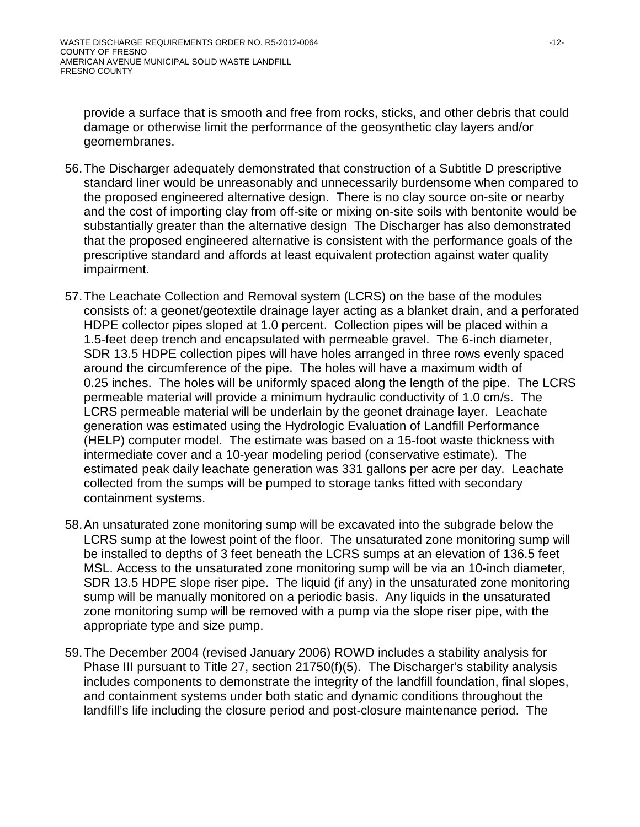provide a surface that is smooth and free from rocks, sticks, and other debris that could damage or otherwise limit the performance of the geosynthetic clay layers and/or geomembranes.

- 56.The Discharger adequately demonstrated that construction of a Subtitle D prescriptive standard liner would be unreasonably and unnecessarily burdensome when compared to the proposed engineered alternative design. There is no clay source on-site or nearby and the cost of importing clay from off-site or mixing on-site soils with bentonite would be substantially greater than the alternative design The Discharger has also demonstrated that the proposed engineered alternative is consistent with the performance goals of the prescriptive standard and affords at least equivalent protection against water quality impairment.
- 57.The Leachate Collection and Removal system (LCRS) on the base of the modules consists of: a geonet/geotextile drainage layer acting as a blanket drain, and a perforated HDPE collector pipes sloped at 1.0 percent. Collection pipes will be placed within a 1.5-feet deep trench and encapsulated with permeable gravel. The 6-inch diameter, SDR 13.5 HDPE collection pipes will have holes arranged in three rows evenly spaced around the circumference of the pipe. The holes will have a maximum width of 0.25 inches. The holes will be uniformly spaced along the length of the pipe. The LCRS permeable material will provide a minimum hydraulic conductivity of 1.0 cm/s. The LCRS permeable material will be underlain by the geonet drainage layer. Leachate generation was estimated using the Hydrologic Evaluation of Landfill Performance (HELP) computer model. The estimate was based on a 15-foot waste thickness with intermediate cover and a 10-year modeling period (conservative estimate). The estimated peak daily leachate generation was 331 gallons per acre per day. Leachate collected from the sumps will be pumped to storage tanks fitted with secondary containment systems.
- 58.An unsaturated zone monitoring sump will be excavated into the subgrade below the LCRS sump at the lowest point of the floor. The unsaturated zone monitoring sump will be installed to depths of 3 feet beneath the LCRS sumps at an elevation of 136.5 feet MSL. Access to the unsaturated zone monitoring sump will be via an 10-inch diameter, SDR 13.5 HDPE slope riser pipe. The liquid (if any) in the unsaturated zone monitoring sump will be manually monitored on a periodic basis. Any liquids in the unsaturated zone monitoring sump will be removed with a pump via the slope riser pipe, with the appropriate type and size pump.
- 59.The December 2004 (revised January 2006) ROWD includes a stability analysis for Phase III pursuant to Title 27, section 21750(f)(5). The Discharger's stability analysis includes components to demonstrate the integrity of the landfill foundation, final slopes, and containment systems under both static and dynamic conditions throughout the landfill's life including the closure period and post-closure maintenance period. The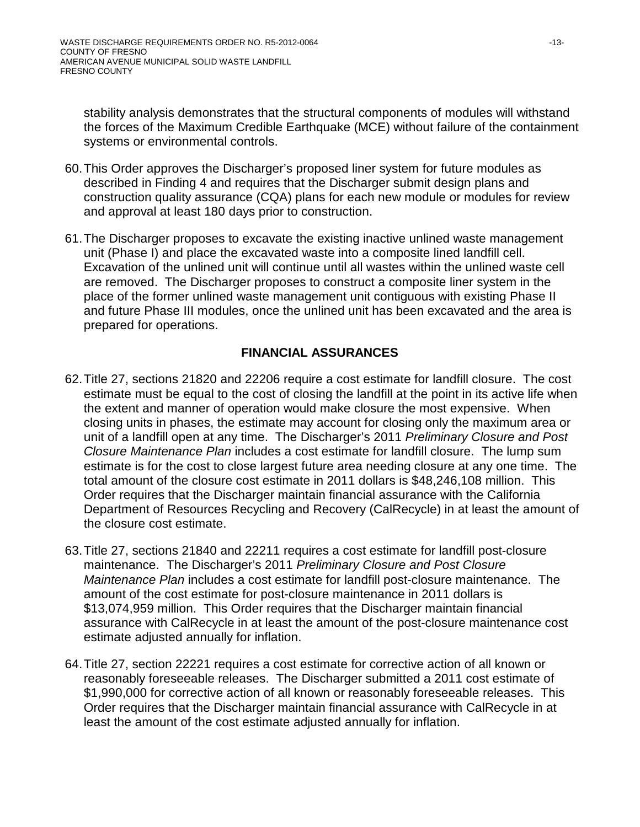stability analysis demonstrates that the structural components of modules will withstand the forces of the Maximum Credible Earthquake (MCE) without failure of the containment systems or environmental controls.

- 60.This Order approves the Discharger's proposed liner system for future modules as described in Finding [4](#page-1-0) and requires that the Discharger submit design plans and construction quality assurance (CQA) plans for each new module or modules for review and approval at least 180 days prior to construction.
- 61.The Discharger proposes to excavate the existing inactive unlined waste management unit (Phase I) and place the excavated waste into a composite lined landfill cell. Excavation of the unlined unit will continue until all wastes within the unlined waste cell are removed. The Discharger proposes to construct a composite liner system in the place of the former unlined waste management unit contiguous with existing Phase II and future Phase III modules, once the unlined unit has been excavated and the area is prepared for operations.

# **FINANCIAL ASSURANCES**

- 62.Title 27, sections 21820 and 22206 require a cost estimate for landfill closure. The cost estimate must be equal to the cost of closing the landfill at the point in its active life when the extent and manner of operation would make closure the most expensive. When closing units in phases, the estimate may account for closing only the maximum area or unit of a landfill open at any time. The Discharger's 2011 *Preliminary Closure and Post Closure Maintenance Plan* includes a cost estimate for landfill closure. The lump sum estimate is for the cost to close largest future area needing closure at any one time. The total amount of the closure cost estimate in 2011 dollars is \$48,246,108 million. This Order requires that the Discharger maintain financial assurance with the California Department of Resources Recycling and Recovery (CalRecycle) in at least the amount of the closure cost estimate.
- 63.Title 27, sections 21840 and 22211 requires a cost estimate for landfill post-closure maintenance. The Discharger's 2011 *Preliminary Closure and Post Closure Maintenance Plan* includes a cost estimate for landfill post-closure maintenance. The amount of the cost estimate for post-closure maintenance in 2011 dollars is \$13,074,959 million. This Order requires that the Discharger maintain financial assurance with CalRecycle in at least the amount of the post-closure maintenance cost estimate adjusted annually for inflation.
- <span id="page-12-0"></span>64.Title 27, section 22221 requires a cost estimate for corrective action of all known or reasonably foreseeable releases. The Discharger submitted a 2011 cost estimate of \$1,990,000 for corrective action of all known or reasonably foreseeable releases. This Order requires that the Discharger maintain financial assurance with CalRecycle in at least the amount of the cost estimate adjusted annually for inflation.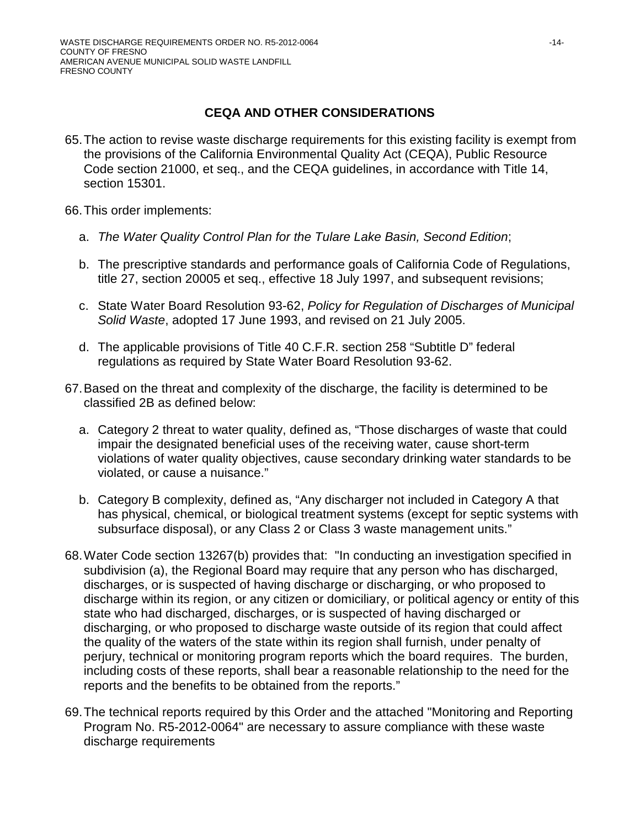# **CEQA AND OTHER CONSIDERATIONS**

65.The action to revise waste discharge requirements for this existing facility is exempt from the provisions of the California Environmental Quality Act (CEQA), Public Resource Code section 21000, et seq., and the CEQA guidelines, in accordance with Title 14, section 15301.

66.This order implements:

- a. *The Water Quality Control Plan for the Tulare Lake Basin, Second Edition*;
- b. The prescriptive standards and performance goals of California Code of Regulations, title 27, section 20005 et seq., effective 18 July 1997, and subsequent revisions;
- c. State Water Board Resolution 93-62, *Policy for Regulation of Discharges of Municipal Solid Waste*, adopted 17 June 1993, and revised on 21 July 2005.
- d. The applicable provisions of Title 40 C.F.R. section 258 "Subtitle D" federal regulations as required by State Water Board Resolution 93-62.
- 67.Based on the threat and complexity of the discharge, the facility is determined to be classified 2B as defined below:
	- a. Category 2 threat to water quality, defined as, "Those discharges of waste that could impair the designated beneficial uses of the receiving water, cause short-term violations of water quality objectives, cause secondary drinking water standards to be violated, or cause a nuisance."
	- b. Category B complexity, defined as, "Any discharger not included in Category A that has physical, chemical, or biological treatment systems (except for septic systems with subsurface disposal), or any Class 2 or Class 3 waste management units."
- 68.Water Code section 13267(b) provides that: "In conducting an investigation specified in subdivision (a), the Regional Board may require that any person who has discharged, discharges, or is suspected of having discharge or discharging, or who proposed to discharge within its region, or any citizen or domiciliary, or political agency or entity of this state who had discharged, discharges, or is suspected of having discharged or discharging, or who proposed to discharge waste outside of its region that could affect the quality of the waters of the state within its region shall furnish, under penalty of perjury, technical or monitoring program reports which the board requires. The burden, including costs of these reports, shall bear a reasonable relationship to the need for the reports and the benefits to be obtained from the reports."
- 69.The technical reports required by this Order and the attached "Monitoring and Reporting Program No. R5-2012-0064" are necessary to assure compliance with these waste discharge requirements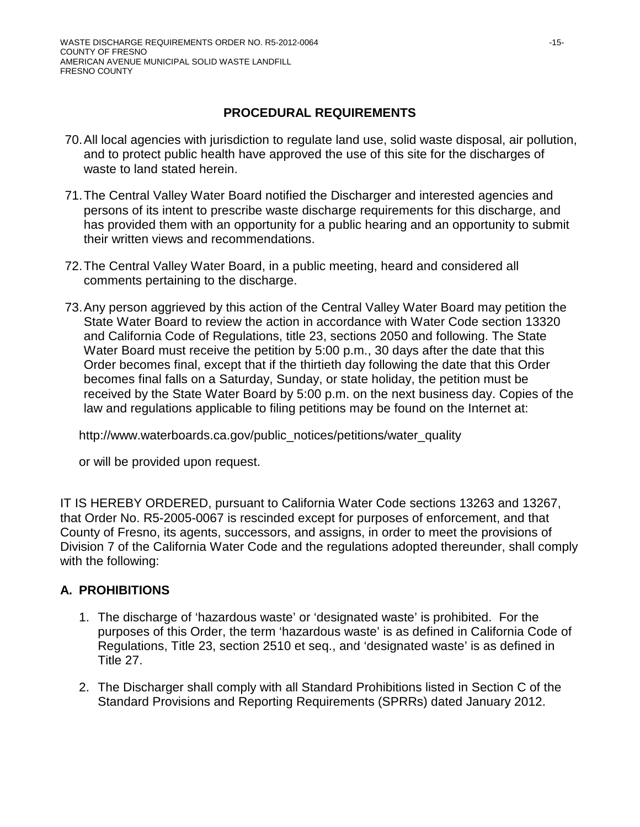## **PROCEDURAL REQUIREMENTS**

- 70.All local agencies with jurisdiction to regulate land use, solid waste disposal, air pollution, and to protect public health have approved the use of this site for the discharges of waste to land stated herein.
- 71.The Central Valley Water Board notified the Discharger and interested agencies and persons of its intent to prescribe waste discharge requirements for this discharge, and has provided them with an opportunity for a public hearing and an opportunity to submit their written views and recommendations.
- 72.The Central Valley Water Board, in a public meeting, heard and considered all comments pertaining to the discharge.
- 73.Any person aggrieved by this action of the Central Valley Water Board may petition the State Water Board to review the action in accordance with Water Code section 13320 and California Code of Regulations, title 23, sections 2050 and following. The State Water Board must receive the petition by 5:00 p.m., 30 days after the date that this Order becomes final, except that if the thirtieth day following the date that this Order becomes final falls on a Saturday, Sunday, or state holiday, the petition must be received by the State Water Board by 5:00 p.m. on the next business day. Copies of the law and regulations applicable to filing petitions may be found on the Internet at:

http://www.waterboards.ca.gov/public\_notices/petitions/water\_quality

or will be provided upon request.

IT IS HEREBY ORDERED, pursuant to California Water Code sections 13263 and 13267, that Order No. R5-2005-0067 is rescinded except for purposes of enforcement, and that County of Fresno, its agents, successors, and assigns, in order to meet the provisions of Division 7 of the California Water Code and the regulations adopted thereunder, shall comply with the following:

# **A. PROHIBITIONS**

- 1. The discharge of 'hazardous waste' or 'designated waste' is prohibited. For the purposes of this Order, the term 'hazardous waste' is as defined in California Code of Regulations, Title 23, section 2510 et seq., and 'designated waste' is as defined in Title 27.
- 2. The Discharger shall comply with all Standard Prohibitions listed in Section C of the Standard Provisions and Reporting Requirements (SPRRs) dated January 2012.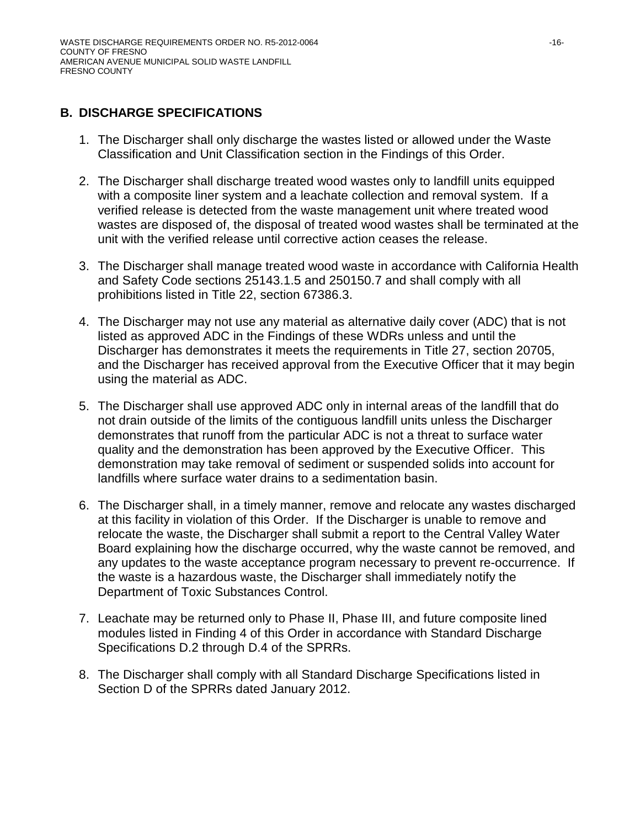# **B. DISCHARGE SPECIFICATIONS**

- 1. The Discharger shall only discharge the wastes listed or allowed under the Waste Classification and Unit Classification section in the Findings of this Order.
- 2. The Discharger shall discharge treated wood wastes only to landfill units equipped with a composite liner system and a leachate collection and removal system. If a verified release is detected from the waste management unit where treated wood wastes are disposed of, the disposal of treated wood wastes shall be terminated at the unit with the verified release until corrective action ceases the release.
- 3. The Discharger shall manage treated wood waste in accordance with California Health and Safety Code sections 25143.1.5 and 250150.7 and shall comply with all prohibitions listed in Title 22, section 67386.3.
- 4. The Discharger may not use any material as alternative daily cover (ADC) that is not listed as approved ADC in the Findings of these WDRs unless and until the Discharger has demonstrates it meets the requirements in Title 27, section 20705, and the Discharger has received approval from the Executive Officer that it may begin using the material as ADC.
- 5. The Discharger shall use approved ADC only in internal areas of the landfill that do not drain outside of the limits of the contiguous landfill units unless the Discharger demonstrates that runoff from the particular ADC is not a threat to surface water quality and the demonstration has been approved by the Executive Officer. This demonstration may take removal of sediment or suspended solids into account for landfills where surface water drains to a sedimentation basin.
- 6. The Discharger shall, in a timely manner, remove and relocate any wastes discharged at this facility in violation of this Order. If the Discharger is unable to remove and relocate the waste, the Discharger shall submit a report to the Central Valley Water Board explaining how the discharge occurred, why the waste cannot be removed, and any updates to the waste acceptance program necessary to prevent re-occurrence. If the waste is a hazardous waste, the Discharger shall immediately notify the Department of Toxic Substances Control.
- 7. Leachate may be returned only to Phase II, Phase III, and future composite lined modules listed in Finding [4](#page-1-0) of this Order in accordance with Standard Discharge Specifications D.2 through D.4 of the SPRRs.
- 8. The Discharger shall comply with all Standard Discharge Specifications listed in Section D of the SPRRs dated January 2012.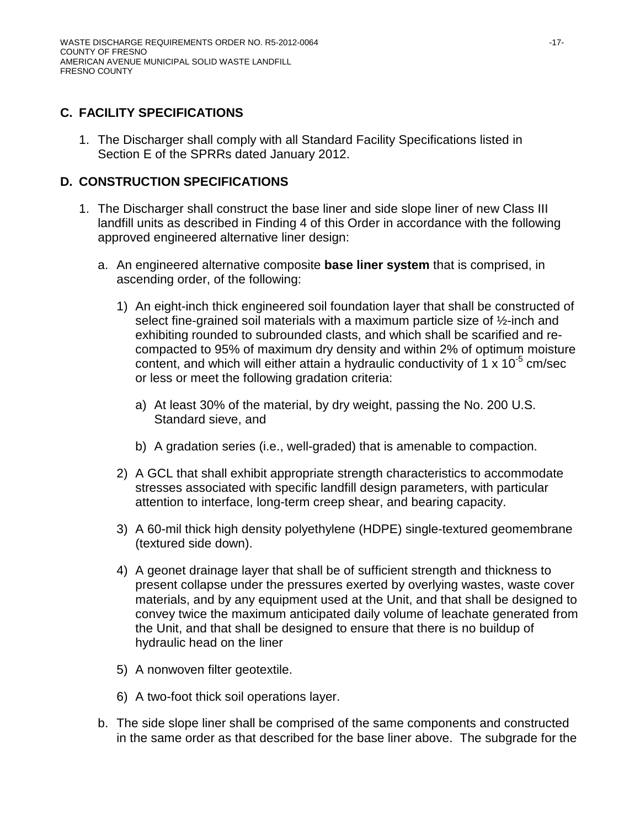# **C. FACILITY SPECIFICATIONS**

1. The Discharger shall comply with all Standard Facility Specifications listed in Section E of the SPRRs dated January 2012.

# **D. CONSTRUCTION SPECIFICATIONS**

- 1. The Discharger shall construct the base liner and side slope liner of new Class III landfill units as described in Finding [4](#page-1-0) of this Order in accordance with the following approved engineered alternative liner design:
	- a. An engineered alternative composite **base liner system** that is comprised, in ascending order, of the following:
		- 1) An eight-inch thick engineered soil foundation layer that shall be constructed of select fine-grained soil materials with a maximum particle size of ½-inch and exhibiting rounded to subrounded clasts, and which shall be scarified and recompacted to 95% of maximum dry density and within 2% of optimum moisture content, and which will either attain a hydraulic conductivity of 1 x  $10^{-5}$  cm/sec or less or meet the following gradation criteria:
			- a) At least 30% of the material, by dry weight, passing the No. 200 U.S. Standard sieve, and
			- b) A gradation series (i.e., well-graded) that is amenable to compaction.
		- 2) A GCL that shall exhibit appropriate strength characteristics to accommodate stresses associated with specific landfill design parameters, with particular attention to interface, long-term creep shear, and bearing capacity.
		- 3) A 60-mil thick high density polyethylene (HDPE) single-textured geomembrane (textured side down).
		- 4) A geonet drainage layer that shall be of sufficient strength and thickness to present collapse under the pressures exerted by overlying wastes, waste cover materials, and by any equipment used at the Unit, and that shall be designed to convey twice the maximum anticipated daily volume of leachate generated from the Unit, and that shall be designed to ensure that there is no buildup of hydraulic head on the liner
		- 5) A nonwoven filter geotextile.
		- 6) A two-foot thick soil operations layer.
	- b. The side slope liner shall be comprised of the same components and constructed in the same order as that described for the base liner above. The subgrade for the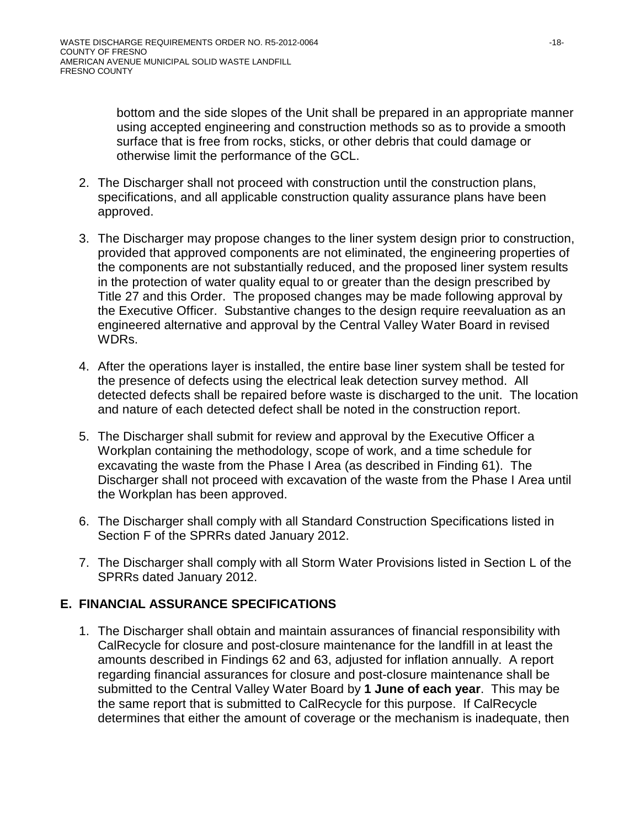bottom and the side slopes of the Unit shall be prepared in an appropriate manner using accepted engineering and construction methods so as to provide a smooth surface that is free from rocks, sticks, or other debris that could damage or otherwise limit the performance of the GCL.

- 2. The Discharger shall not proceed with construction until the construction plans, specifications, and all applicable construction quality assurance plans have been approved.
- 3. The Discharger may propose changes to the liner system design prior to construction, provided that approved components are not eliminated, the engineering properties of the components are not substantially reduced, and the proposed liner system results in the protection of water quality equal to or greater than the design prescribed by Title 27 and this Order. The proposed changes may be made following approval by the Executive Officer. Substantive changes to the design require reevaluation as an engineered alternative and approval by the Central Valley Water Board in revised WDRs.
- 4. After the operations layer is installed, the entire base liner system shall be tested for the presence of defects using the electrical leak detection survey method. All detected defects shall be repaired before waste is discharged to the unit. The location and nature of each detected defect shall be noted in the construction report.
- 5. The Discharger shall submit for review and approval by the Executive Officer a Workplan containing the methodology, scope of work, and a time schedule for excavating the waste from the Phase I Area (as described in Finding 61). The Discharger shall not proceed with excavation of the waste from the Phase I Area until the Workplan has been approved.
- 6. The Discharger shall comply with all Standard Construction Specifications listed in Section F of the SPRRs dated January 2012.
- 7. The Discharger shall comply with all Storm Water Provisions listed in Section L of the SPRRs dated January 2012.

# **E. FINANCIAL ASSURANCE SPECIFICATIONS**

1. The Discharger shall obtain and maintain assurances of financial responsibility with CalRecycle for closure and post-closure maintenance for the landfill in at least the amounts described in Findings 62 and 63, adjusted for inflation annually. A report regarding financial assurances for closure and post-closure maintenance shall be submitted to the Central Valley Water Board by **1 June of each year**. This may be the same report that is submitted to CalRecycle for this purpose. If CalRecycle determines that either the amount of coverage or the mechanism is inadequate, then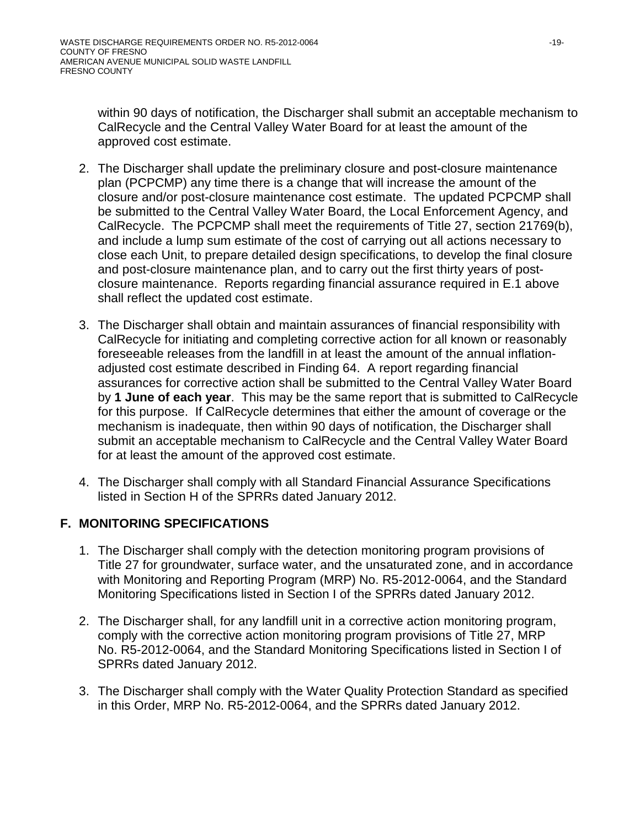within 90 days of notification, the Discharger shall submit an acceptable mechanism to CalRecycle and the Central Valley Water Board for at least the amount of the approved cost estimate.

- 2. The Discharger shall update the preliminary closure and post-closure maintenance plan (PCPCMP) any time there is a change that will increase the amount of the closure and/or post-closure maintenance cost estimate. The updated PCPCMP shall be submitted to the Central Valley Water Board, the Local Enforcement Agency, and CalRecycle. The PCPCMP shall meet the requirements of Title 27, section 21769(b), and include a lump sum estimate of the cost of carrying out all actions necessary to close each Unit, to prepare detailed design specifications, to develop the final closure and post-closure maintenance plan, and to carry out the first thirty years of postclosure maintenance. Reports regarding financial assurance required in E.1 above shall reflect the updated cost estimate.
- 3. The Discharger shall obtain and maintain assurances of financial responsibility with CalRecycle for initiating and completing corrective action for all known or reasonably foreseeable releases from the landfill in at least the amount of the annual inflationadjusted cost estimate described in Finding [64.](#page-12-0) A report regarding financial assurances for corrective action shall be submitted to the Central Valley Water Board by **1 June of each year**. This may be the same report that is submitted to CalRecycle for this purpose. If CalRecycle determines that either the amount of coverage or the mechanism is inadequate, then within 90 days of notification, the Discharger shall submit an acceptable mechanism to CalRecycle and the Central Valley Water Board for at least the amount of the approved cost estimate.
- 4. The Discharger shall comply with all Standard Financial Assurance Specifications listed in Section H of the SPRRs dated January 2012.

# **F. MONITORING SPECIFICATIONS**

- 1. The Discharger shall comply with the detection monitoring program provisions of Title 27 for groundwater, surface water, and the unsaturated zone, and in accordance with Monitoring and Reporting Program (MRP) No. R5-2012-0064, and the Standard Monitoring Specifications listed in Section I of the SPRRs dated January 2012.
- 2. The Discharger shall, for any landfill unit in a corrective action monitoring program, comply with the corrective action monitoring program provisions of Title 27, MRP No. R5-2012-0064, and the Standard Monitoring Specifications listed in Section I of SPRRs dated January 2012.
- 3. The Discharger shall comply with the Water Quality Protection Standard as specified in this Order, MRP No. R5-2012-0064, and the SPRRs dated January 2012.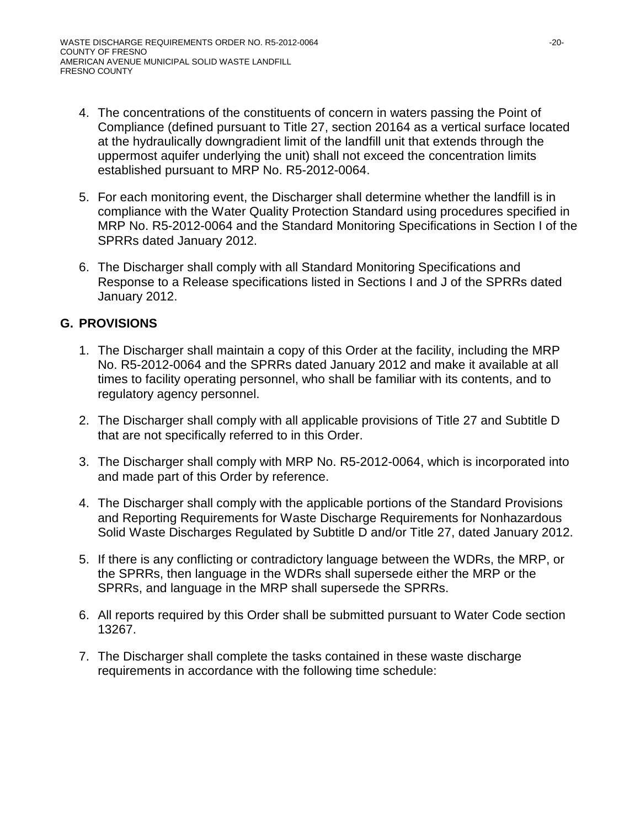- 4. The concentrations of the constituents of concern in waters passing the Point of Compliance (defined pursuant to Title 27, section 20164 as a vertical surface located at the hydraulically downgradient limit of the landfill unit that extends through the uppermost aquifer underlying the unit) shall not exceed the concentration limits established pursuant to MRP No. R5-2012-0064.
- 5. For each monitoring event, the Discharger shall determine whether the landfill is in compliance with the Water Quality Protection Standard using procedures specified in MRP No. R5-2012-0064 and the Standard Monitoring Specifications in Section I of the SPRRs dated January 2012.
- 6. The Discharger shall comply with all Standard Monitoring Specifications and Response to a Release specifications listed in Sections I and J of the SPRRs dated January 2012.

# **G. PROVISIONS**

- 1. The Discharger shall maintain a copy of this Order at the facility, including the MRP No. R5-2012-0064 and the SPRRs dated January 2012 and make it available at all times to facility operating personnel, who shall be familiar with its contents, and to regulatory agency personnel.
- 2. The Discharger shall comply with all applicable provisions of Title 27 and Subtitle D that are not specifically referred to in this Order.
- 3. The Discharger shall comply with MRP No. R5-2012-0064, which is incorporated into and made part of this Order by reference.
- 4. The Discharger shall comply with the applicable portions of the Standard Provisions and Reporting Requirements for Waste Discharge Requirements for Nonhazardous Solid Waste Discharges Regulated by Subtitle D and/or Title 27, dated January 2012.
- 5. If there is any conflicting or contradictory language between the WDRs, the MRP, or the SPRRs, then language in the WDRs shall supersede either the MRP or the SPRRs, and language in the MRP shall supersede the SPRRs.
- 6. All reports required by this Order shall be submitted pursuant to Water Code section 13267.
- 7. The Discharger shall complete the tasks contained in these waste discharge requirements in accordance with the following time schedule: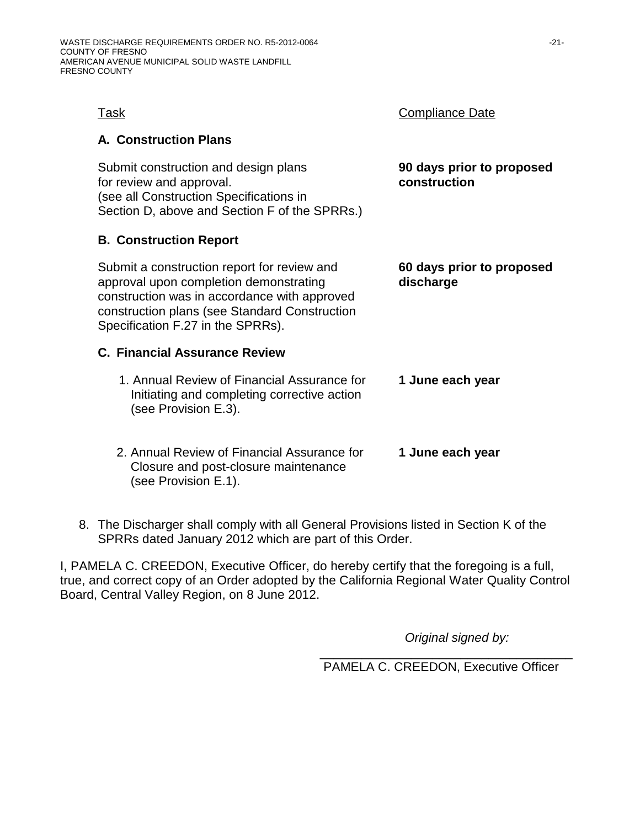| Task                                                                                                                                                                                                                        | <b>Compliance Date</b>                    |
|-----------------------------------------------------------------------------------------------------------------------------------------------------------------------------------------------------------------------------|-------------------------------------------|
| <b>A. Construction Plans</b>                                                                                                                                                                                                |                                           |
| Submit construction and design plans<br>for review and approval.<br>(see all Construction Specifications in<br>Section D, above and Section F of the SPRRs.)                                                                | 90 days prior to proposed<br>construction |
| <b>B. Construction Report</b>                                                                                                                                                                                               |                                           |
| Submit a construction report for review and<br>approval upon completion demonstrating<br>construction was in accordance with approved<br>construction plans (see Standard Construction<br>Specification F.27 in the SPRRs). | 60 days prior to proposed<br>discharge    |
| <b>C. Financial Assurance Review</b>                                                                                                                                                                                        |                                           |
| 1. Annual Review of Financial Assurance for<br>Initiating and completing corrective action<br>(see Provision E.3).                                                                                                          | 1 June each year                          |
| 2. Annual Review of Financial Assurance for<br>Closure and post-closure maintenance<br>(see Provision E.1).                                                                                                                 | 1 June each year                          |

8. The Discharger shall comply with all General Provisions listed in Section K of the SPRRs dated January 2012 which are part of this Order.

I, PAMELA C. CREEDON, Executive Officer, do hereby certify that the foregoing is a full, true, and correct copy of an Order adopted by the California Regional Water Quality Control Board, Central Valley Region, on 8 June 2012.

*Original signed by:*

\_\_\_\_\_\_\_\_\_\_\_\_\_\_\_\_\_\_\_\_\_\_\_\_\_\_\_\_\_\_\_\_\_\_\_\_ PAMELA C. CREEDON, Executive Officer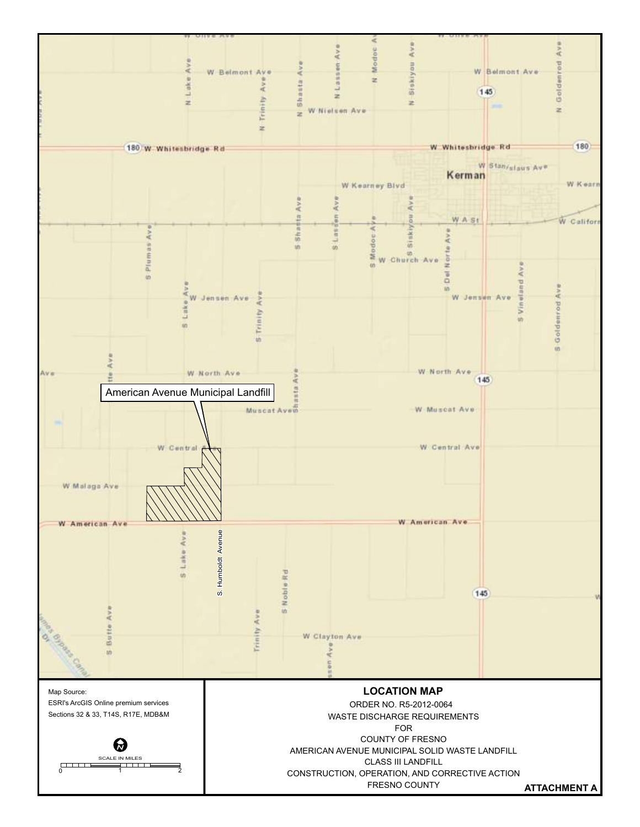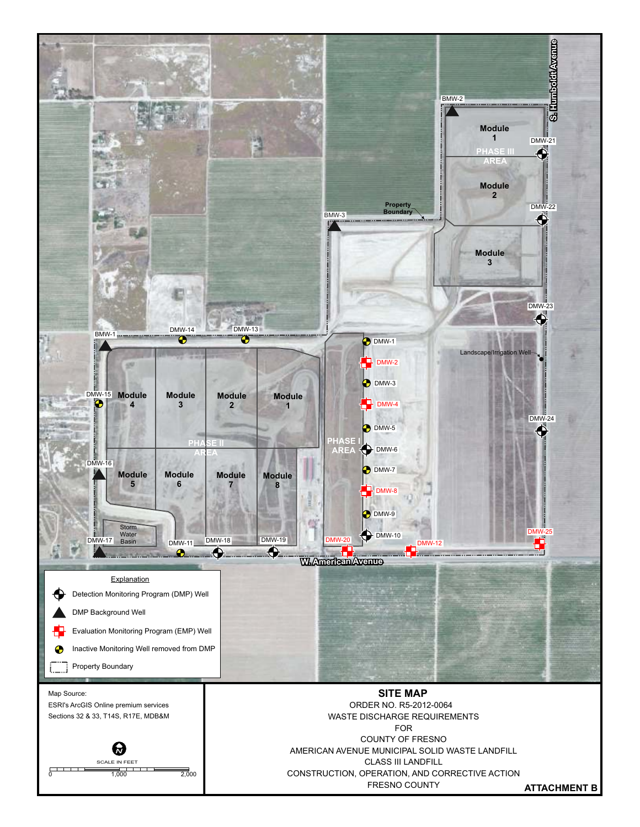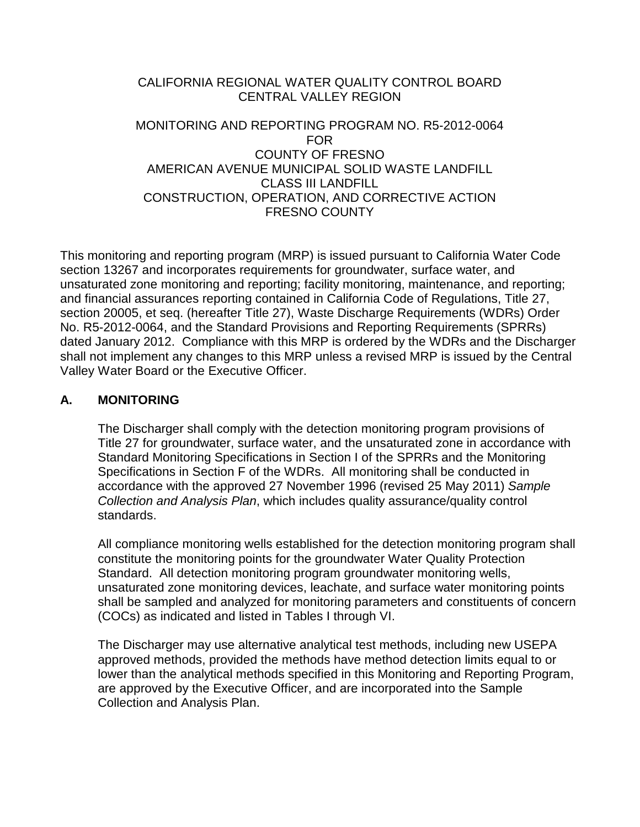## CALIFORNIA REGIONAL WATER QUALITY CONTROL BOARD CENTRAL VALLEY REGION

## MONITORING AND REPORTING PROGRAM NO. R5-2012-0064 FOR COUNTY OF FRESNO AMERICAN AVENUE MUNICIPAL SOLID WASTE LANDFILL CLASS III LANDFILL CONSTRUCTION, OPERATION, AND CORRECTIVE ACTION FRESNO COUNTY

This monitoring and reporting program (MRP) is issued pursuant to California Water Code section 13267 and incorporates requirements for groundwater, surface water, and unsaturated zone monitoring and reporting; facility monitoring, maintenance, and reporting; and financial assurances reporting contained in California Code of Regulations, Title 27, section 20005, et seq. (hereafter Title 27), Waste Discharge Requirements (WDRs) Order No. R5-2012-0064, and the Standard Provisions and Reporting Requirements (SPRRs) dated January 2012. Compliance with this MRP is ordered by the WDRs and the Discharger shall not implement any changes to this MRP unless a revised MRP is issued by the Central Valley Water Board or the Executive Officer.

## **A. MONITORING**

The Discharger shall comply with the detection monitoring program provisions of Title 27 for groundwater, surface water, and the unsaturated zone in accordance with Standard Monitoring Specifications in Section I of the SPRRs and the Monitoring Specifications in Section F of the WDRs. All monitoring shall be conducted in accordance with the approved 27 November 1996 (revised 25 May 2011) *Sample Collection and Analysis Plan*, which includes quality assurance/quality control standards.

All compliance monitoring wells established for the detection monitoring program shall constitute the monitoring points for the groundwater Water Quality Protection Standard. All detection monitoring program groundwater monitoring wells, unsaturated zone monitoring devices, leachate, and surface water monitoring points shall be sampled and analyzed for monitoring parameters and constituents of concern (COCs) as indicated and listed in Tables I through VI.

The Discharger may use alternative analytical test methods, including new USEPA approved methods, provided the methods have method detection limits equal to or lower than the analytical methods specified in this Monitoring and Reporting Program, are approved by the Executive Officer, and are incorporated into the Sample Collection and Analysis Plan.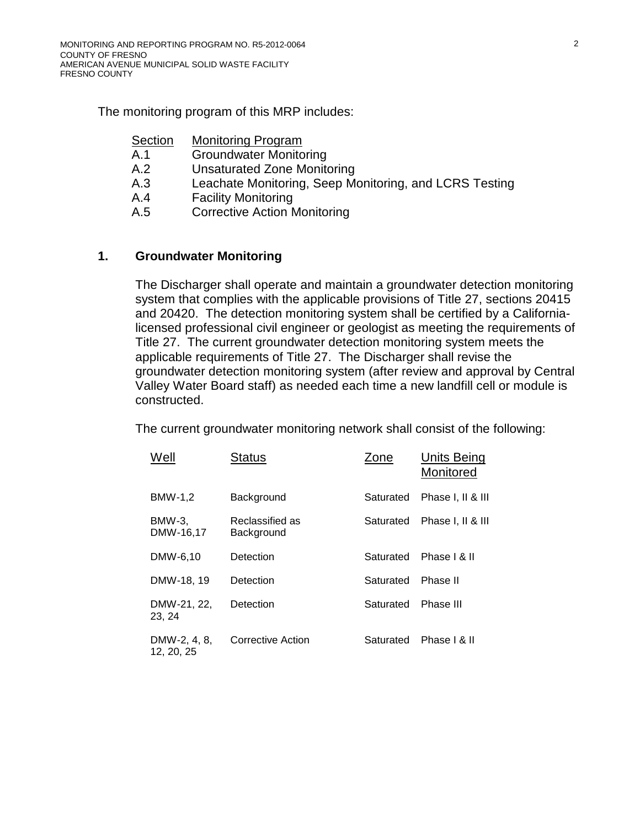The monitoring program of this MRP includes:

| Section | <b>Monitoring Program</b>                              |
|---------|--------------------------------------------------------|
| A.1     | <b>Groundwater Monitoring</b>                          |
| A.2     | <b>Unsaturated Zone Monitoring</b>                     |
| A.3     | Leachate Monitoring, Seep Monitoring, and LCRS Testing |
| A.4     | <b>Facility Monitoring</b>                             |
| A.5     | <b>Corrective Action Monitoring</b>                    |

### **1. Groundwater Monitoring**

The Discharger shall operate and maintain a groundwater detection monitoring system that complies with the applicable provisions of Title 27, sections 20415 and 20420. The detection monitoring system shall be certified by a Californialicensed professional civil engineer or geologist as meeting the requirements of Title 27. The current groundwater detection monitoring system meets the applicable requirements of Title 27. The Discharger shall revise the groundwater detection monitoring system (after review and approval by Central Valley Water Board staff) as needed each time a new landfill cell or module is constructed.

The current groundwater monitoring network shall consist of the following:

| Well                       | <b>Status</b>                 | Zone      | Units Being<br>Monitored |
|----------------------------|-------------------------------|-----------|--------------------------|
| BMW-1,2                    | Background                    | Saturated | Phase I, II & III        |
| BMW-3,<br>DMW-16,17        | Reclassified as<br>Background | Saturated | Phase I, II & III        |
| DMW-6,10                   | Detection                     | Saturated | Phase   & II             |
| DMW-18, 19                 | Detection                     | Saturated | Phase II                 |
| DMW-21, 22,<br>23, 24      | Detection                     | Saturated | Phase III                |
| DMW-2, 4, 8,<br>12, 20, 25 | Corrective Action             | Saturated | Phase   & II             |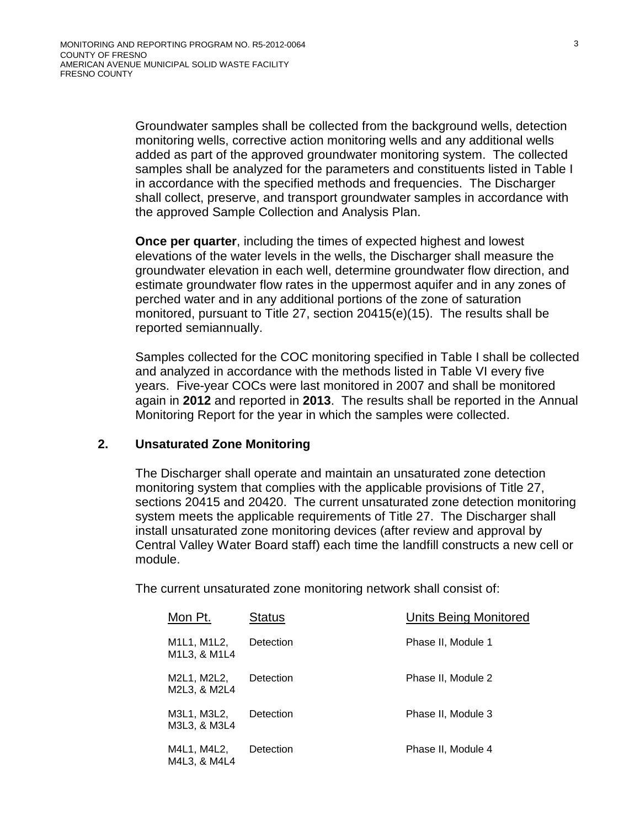Groundwater samples shall be collected from the background wells, detection monitoring wells, corrective action monitoring wells and any additional wells added as part of the approved groundwater monitoring system. The collected samples shall be analyzed for the parameters and constituents listed in Table I in accordance with the specified methods and frequencies. The Discharger shall collect, preserve, and transport groundwater samples in accordance with the approved Sample Collection and Analysis Plan.

**Once per quarter**, including the times of expected highest and lowest elevations of the water levels in the wells, the Discharger shall measure the groundwater elevation in each well, determine groundwater flow direction, and estimate groundwater flow rates in the uppermost aquifer and in any zones of perched water and in any additional portions of the zone of saturation monitored, pursuant to Title 27, section 20415(e)(15). The results shall be reported semiannually.

Samples collected for the COC monitoring specified in Table I shall be collected and analyzed in accordance with the methods listed in Table VI every five years. Five-year COCs were last monitored in 2007 and shall be monitored again in **2012** and reported in **2013**. The results shall be reported in the Annual Monitoring Report for the year in which the samples were collected.

### **2. Unsaturated Zone Monitoring**

The Discharger shall operate and maintain an unsaturated zone detection monitoring system that complies with the applicable provisions of Title 27, sections 20415 and 20420. The current unsaturated zone detection monitoring system meets the applicable requirements of Title 27. The Discharger shall install unsaturated zone monitoring devices (after review and approval by Central Valley Water Board staff) each time the landfill constructs a new cell or module.

The current unsaturated zone monitoring network shall consist of:

| Mon Pt.                                                                        | <b>Status</b> | <b>Units Being Monitored</b> |
|--------------------------------------------------------------------------------|---------------|------------------------------|
| M1L1, M1L2,<br>M <sub>1</sub> L <sub>3</sub> , & M <sub>1</sub> L <sub>4</sub> | Detection     | Phase II, Module 1           |
| M2L1, M2L2,<br>M2L3, & M2L4                                                    | Detection     | Phase II, Module 2           |
| M3L1, M3L2,<br>M3L3, & M3L4                                                    | Detection     | Phase II, Module 3           |
| M4L1, M4L2,<br>M4L3, & M4L4                                                    | Detection     | Phase II, Module 4           |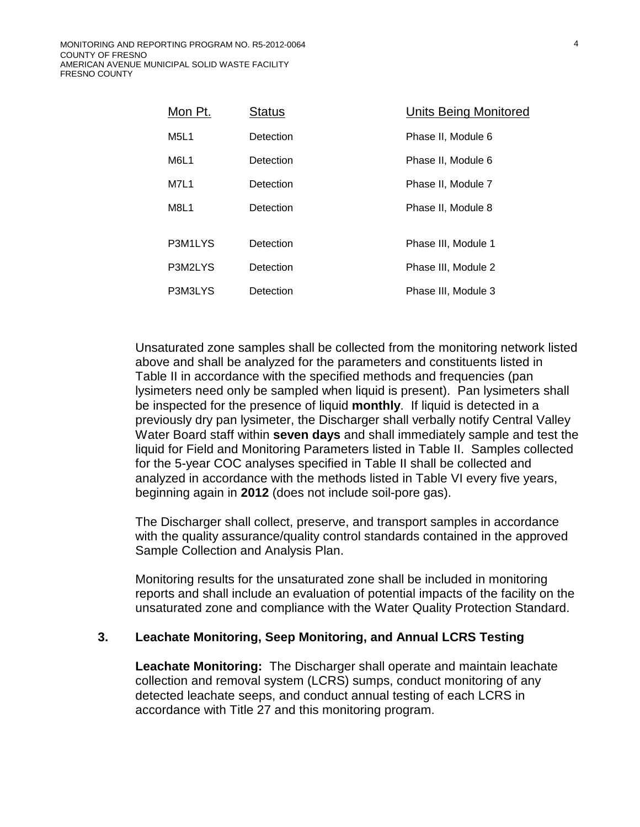| Mon Pt.                       | <b>Status</b> | Units Being Monitored |
|-------------------------------|---------------|-----------------------|
| M <sub>5</sub> L <sub>1</sub> | Detection     | Phase II, Module 6    |
| M6L1                          | Detection     | Phase II, Module 6    |
| <b>M7L1</b>                   | Detection     | Phase II, Module 7    |
| M8L1                          | Detection     | Phase II, Module 8    |
| P3M1LYS                       | Detection     | Phase III, Module 1   |
| P3M2LYS                       | Detection     | Phase III, Module 2   |
| P3M3LYS                       | Detection     | Phase III, Module 3   |

Unsaturated zone samples shall be collected from the monitoring network listed above and shall be analyzed for the parameters and constituents listed in Table II in accordance with the specified methods and frequencies (pan lysimeters need only be sampled when liquid is present). Pan lysimeters shall be inspected for the presence of liquid **monthly**. If liquid is detected in a previously dry pan lysimeter, the Discharger shall verbally notify Central Valley Water Board staff within **seven days** and shall immediately sample and test the liquid for Field and Monitoring Parameters listed in Table II. Samples collected for the 5-year COC analyses specified in Table II shall be collected and analyzed in accordance with the methods listed in Table VI every five years, beginning again in **2012** (does not include soil-pore gas).

The Discharger shall collect, preserve, and transport samples in accordance with the quality assurance/quality control standards contained in the approved Sample Collection and Analysis Plan.

Monitoring results for the unsaturated zone shall be included in monitoring reports and shall include an evaluation of potential impacts of the facility on the unsaturated zone and compliance with the Water Quality Protection Standard.

### **3. Leachate Monitoring, Seep Monitoring, and Annual LCRS Testing**

**Leachate Monitoring:** The Discharger shall operate and maintain leachate collection and removal system (LCRS) sumps, conduct monitoring of any detected leachate seeps, and conduct annual testing of each LCRS in accordance with Title 27 and this monitoring program.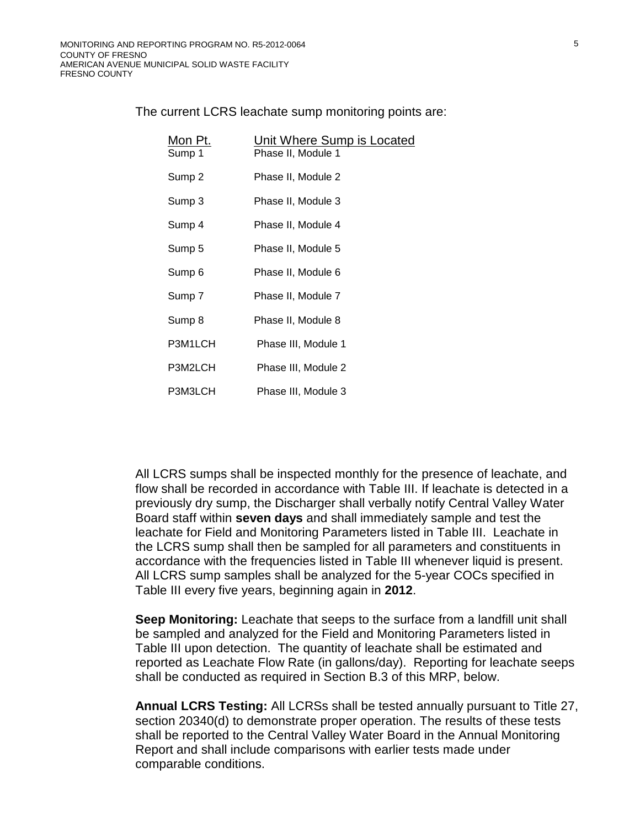The current LCRS leachate sump monitoring points are:

| Mon Pt.<br>Sump 1 | Unit Where Sump is Located<br>Phase II, Module 1 |
|-------------------|--------------------------------------------------|
| Sump 2            | Phase II, Module 2                               |
| Sump 3            | Phase II, Module 3                               |
| Sump 4            | Phase II, Module 4                               |
| Sump 5            | Phase II, Module 5                               |
| Sump <sub>6</sub> | Phase II, Module 6                               |
| Sump 7            | Phase II, Module 7                               |
| Sump 8            | Phase II, Module 8                               |
| P3M1LCH           | Phase III, Module 1                              |
| P3M2LCH           | Phase III, Module 2                              |
| P3M3LCH           | Phase III, Module 3                              |

All LCRS sumps shall be inspected monthly for the presence of leachate, and flow shall be recorded in accordance with Table III. If leachate is detected in a previously dry sump, the Discharger shall verbally notify Central Valley Water Board staff within **seven days** and shall immediately sample and test the leachate for Field and Monitoring Parameters listed in Table III. Leachate in the LCRS sump shall then be sampled for all parameters and constituents in accordance with the frequencies listed in Table III whenever liquid is present. All LCRS sump samples shall be analyzed for the 5-year COCs specified in Table III every five years, beginning again in **2012**.

**Seep Monitoring:** Leachate that seeps to the surface from a landfill unit shall be sampled and analyzed for the Field and Monitoring Parameters listed in Table III upon detection. The quantity of leachate shall be estimated and reported as Leachate Flow Rate (in gallons/day). Reporting for leachate seeps shall be conducted as required in Section B[.3](#page-34-0) of this MRP, below.

**Annual LCRS Testing:** All LCRSs shall be tested annually pursuant to Title 27, section 20340(d) to demonstrate proper operation. The results of these tests shall be reported to the Central Valley Water Board in the Annual Monitoring Report and shall include comparisons with earlier tests made under comparable conditions.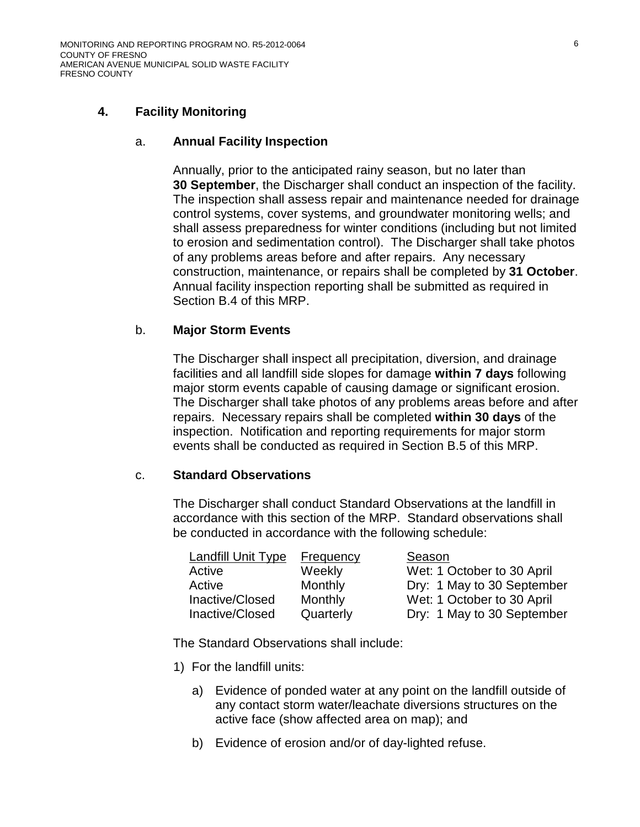### <span id="page-28-1"></span>**4. Facility Monitoring**

#### a. **Annual Facility Inspection**

Annually, prior to the anticipated rainy season, but no later than **30 September**, the Discharger shall conduct an inspection of the facility. The inspection shall assess repair and maintenance needed for drainage control systems, cover systems, and groundwater monitoring wells; and shall assess preparedness for winter conditions (including but not limited to erosion and sedimentation control). The Discharger shall take photos of any problems areas before and after repairs. Any necessary construction, maintenance, or repairs shall be completed by **31 October**. Annual facility inspection reporting shall be submitted as required in Section B[.4](#page-34-1) of this MRP.

#### <span id="page-28-2"></span>b. **Major Storm Events**

The Discharger shall inspect all precipitation, diversion, and drainage facilities and all landfill side slopes for damage **within 7 days** following major storm events capable of causing damage or significant erosion. The Discharger shall take photos of any problems areas before and after repairs. Necessary repairs shall be completed **within 30 days** of the inspection. Notification and reporting requirements for major storm events shall be conducted as required in Section B[.5](#page-34-2) of this MRP.

#### <span id="page-28-0"></span>c. **Standard Observations**

The Discharger shall conduct Standard Observations at the landfill in accordance with this section of the MRP. Standard observations shall be conducted in accordance with the following schedule:

| Landfill Unit Type | Frequency | Season                     |
|--------------------|-----------|----------------------------|
| Active             | Weekly    | Wet: 1 October to 30 April |
| Active             | Monthly   | Dry: 1 May to 30 September |
| Inactive/Closed    | Monthly   | Wet: 1 October to 30 April |
| Inactive/Closed    | Quarterly | Dry: 1 May to 30 September |

The Standard Observations shall include:

- 1) For the landfill units:
	- a) Evidence of ponded water at any point on the landfill outside of any contact storm water/leachate diversions structures on the active face (show affected area on map); and
	- b) Evidence of erosion and/or of day-lighted refuse.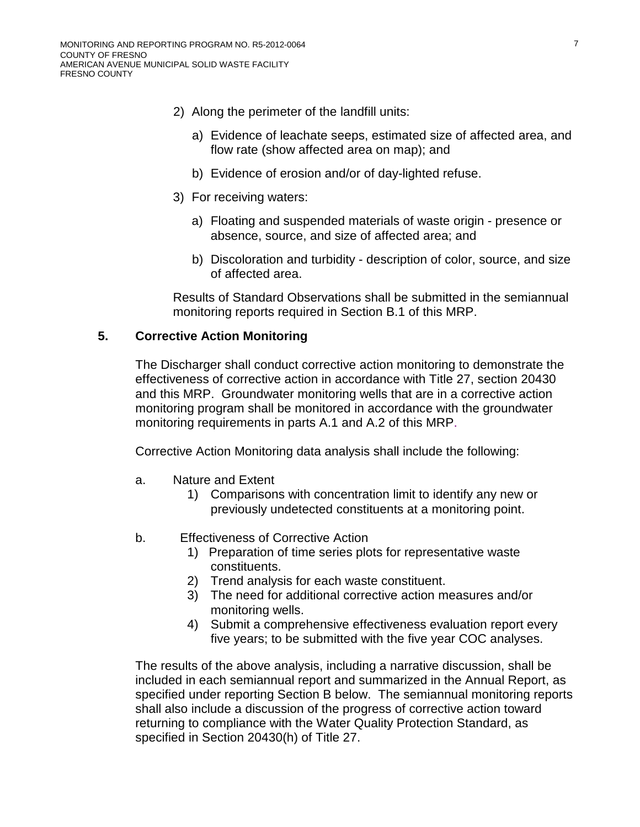- 2) Along the perimeter of the landfill units:
	- a) Evidence of leachate seeps, estimated size of affected area, and flow rate (show affected area on map); and
	- b) Evidence of erosion and/or of day-lighted refuse.
- 3) For receiving waters:
	- a) Floating and suspended materials of waste origin presence or absence, source, and size of affected area; and
	- b) Discoloration and turbidity description of color, source, and size of affected area.

Results of Standard Observations shall be submitted in the semiannual monitoring reports required in Section B.1 of this MRP.

### **5. Corrective Action Monitoring**

The Discharger shall conduct corrective action monitoring to demonstrate the effectiveness of corrective action in accordance with Title 27, section 20430 and this MRP. Groundwater monitoring wells that are in a corrective action monitoring program shall be monitored in accordance with the groundwater monitoring requirements in parts A.1 and A.2 of this MRP.

Corrective Action Monitoring data analysis shall include the following:

- a. Nature and Extent
	- 1) Comparisons with concentration limit to identify any new or previously undetected constituents at a monitoring point.
- b. Effectiveness of Corrective Action
	- 1) Preparation of time series plots for representative waste constituents.
	- 2) Trend analysis for each waste constituent.
	- 3) The need for additional corrective action measures and/or monitoring wells.
	- 4) Submit a comprehensive effectiveness evaluation report every five years; to be submitted with the five year COC analyses.

The results of the above analysis, including a narrative discussion, shall be included in each semiannual report and summarized in the Annual Report, as specified under reporting Section B below. The semiannual monitoring reports shall also include a discussion of the progress of corrective action toward returning to compliance with the Water Quality Protection Standard, as specified in Section 20430(h) of Title 27.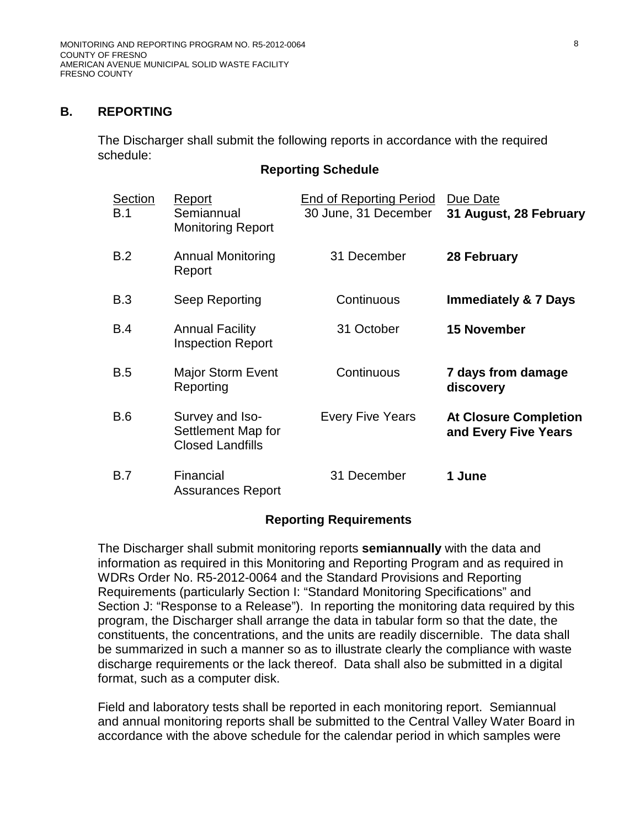### **B. REPORTING**

The Discharger shall submit the following reports in accordance with the required schedule:

#### **Reporting Schedule**

| Section<br>B.1 | Report<br>Semiannual<br><b>Monitoring Report</b>                 | <b>End of Reporting Period</b><br>30 June, 31 December | Due Date<br>31 August, 28 February                   |
|----------------|------------------------------------------------------------------|--------------------------------------------------------|------------------------------------------------------|
| B.2            | <b>Annual Monitoring</b><br>Report                               | 31 December                                            | 28 February                                          |
| B.3            | Seep Reporting                                                   | Continuous                                             | <b>Immediately &amp; 7 Days</b>                      |
| B.4            | <b>Annual Facility</b><br><b>Inspection Report</b>               | 31 October                                             | <b>15 November</b>                                   |
| <b>B.5</b>     | <b>Major Storm Event</b><br>Reporting                            | Continuous                                             | 7 days from damage<br>discovery                      |
| <b>B.6</b>     | Survey and Iso-<br>Settlement Map for<br><b>Closed Landfills</b> | <b>Every Five Years</b>                                | <b>At Closure Completion</b><br>and Every Five Years |
| <b>B.7</b>     | Financial<br><b>Assurances Report</b>                            | 31 December                                            | 1 June                                               |

### **Reporting Requirements**

The Discharger shall submit monitoring reports **semiannually** with the data and information as required in this Monitoring and Reporting Program and as required in WDRs Order No. R5-2012-0064 and the Standard Provisions and Reporting Requirements (particularly Section I: "Standard Monitoring Specifications" and Section J: "Response to a Release"). In reporting the monitoring data required by this program, the Discharger shall arrange the data in tabular form so that the date, the constituents, the concentrations, and the units are readily discernible. The data shall be summarized in such a manner so as to illustrate clearly the compliance with waste discharge requirements or the lack thereof. Data shall also be submitted in a digital format, such as a computer disk.

Field and laboratory tests shall be reported in each monitoring report. Semiannual and annual monitoring reports shall be submitted to the Central Valley Water Board in accordance with the above schedule for the calendar period in which samples were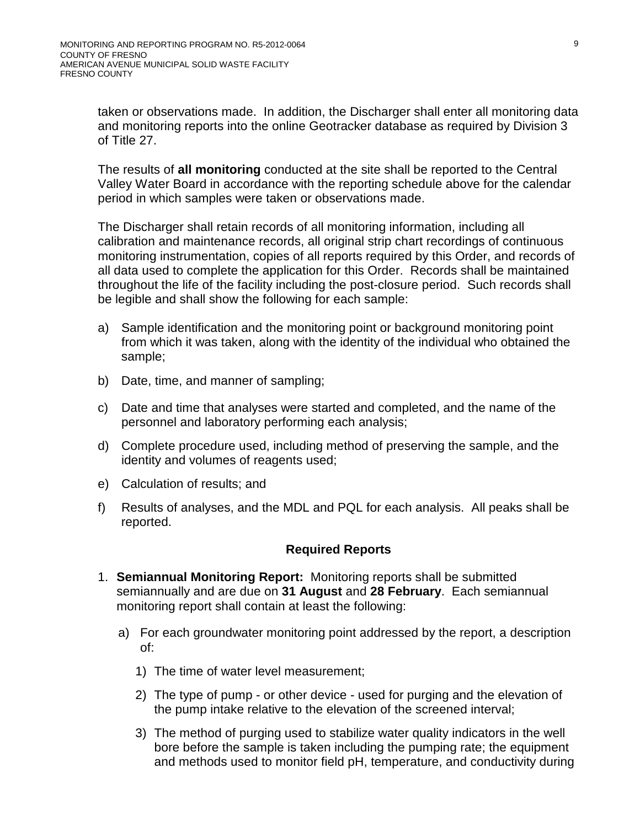taken or observations made. In addition, the Discharger shall enter all monitoring data and monitoring reports into the online Geotracker database as required by Division 3 of Title 27.

The results of **all monitoring** conducted at the site shall be reported to the Central Valley Water Board in accordance with the reporting schedule above for the calendar period in which samples were taken or observations made.

The Discharger shall retain records of all monitoring information, including all calibration and maintenance records, all original strip chart recordings of continuous monitoring instrumentation, copies of all reports required by this Order, and records of all data used to complete the application for this Order. Records shall be maintained throughout the life of the facility including the post-closure period. Such records shall be legible and shall show the following for each sample:

- a) Sample identification and the monitoring point or background monitoring point from which it was taken, along with the identity of the individual who obtained the sample;
- b) Date, time, and manner of sampling;
- c) Date and time that analyses were started and completed, and the name of the personnel and laboratory performing each analysis;
- d) Complete procedure used, including method of preserving the sample, and the identity and volumes of reagents used;
- e) Calculation of results; and
- f) Results of analyses, and the MDL and PQL for each analysis. All peaks shall be reported.

### **Required Reports**

- 1. **Semiannual Monitoring Report:** Monitoring reports shall be submitted semiannually and are due on **31 August** and **28 February**. Each semiannual monitoring report shall contain at least the following:
	- a) For each groundwater monitoring point addressed by the report, a description of:
		- 1) The time of water level measurement;
		- 2) The type of pump or other device used for purging and the elevation of the pump intake relative to the elevation of the screened interval;
		- 3) The method of purging used to stabilize water quality indicators in the well bore before the sample is taken including the pumping rate; the equipment and methods used to monitor field pH, temperature, and conductivity during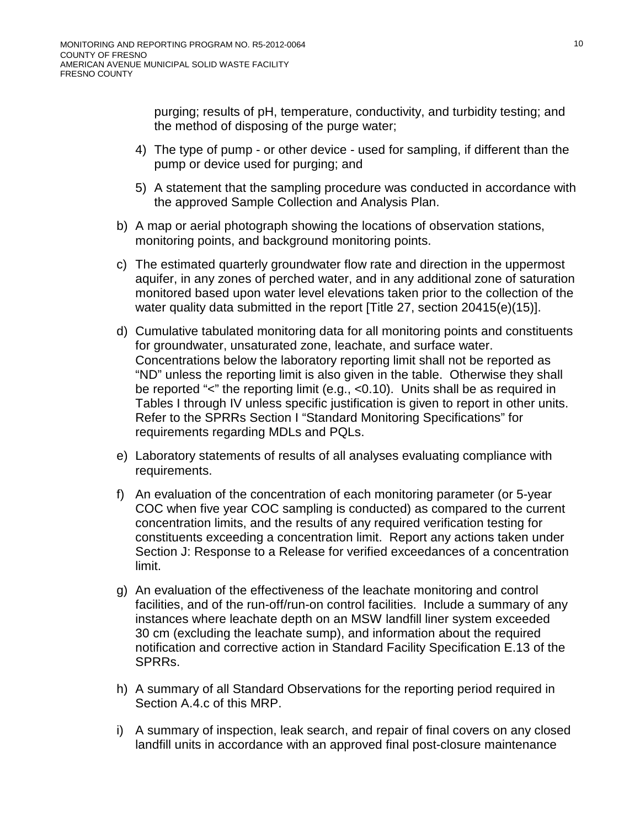purging; results of pH, temperature, conductivity, and turbidity testing; and the method of disposing of the purge water;

- 4) The type of pump or other device used for sampling, if different than the pump or device used for purging; and
- 5) A statement that the sampling procedure was conducted in accordance with the approved Sample Collection and Analysis Plan.
- b) A map or aerial photograph showing the locations of observation stations, monitoring points, and background monitoring points.
- c) The estimated quarterly groundwater flow rate and direction in the uppermost aquifer, in any zones of perched water, and in any additional zone of saturation monitored based upon water level elevations taken prior to the collection of the water quality data submitted in the report [Title 27, section 20415(e)(15)].
- d) Cumulative tabulated monitoring data for all monitoring points and constituents for groundwater, unsaturated zone, leachate, and surface water. Concentrations below the laboratory reporting limit shall not be reported as "ND" unless the reporting limit is also given in the table. Otherwise they shall be reported "<" the reporting limit (e.g., <0.10). Units shall be as required in Tables I through IV unless specific justification is given to report in other units. Refer to the SPRRs Section I "Standard Monitoring Specifications" for requirements regarding MDLs and PQLs.
- e) Laboratory statements of results of all analyses evaluating compliance with requirements.
- f) An evaluation of the concentration of each monitoring parameter (or 5-year COC when five year COC sampling is conducted) as compared to the current concentration limits, and the results of any required verification testing for constituents exceeding a concentration limit. Report any actions taken under Section J: Response to a Release for verified exceedances of a concentration limit.
- g) An evaluation of the effectiveness of the leachate monitoring and control facilities, and of the run-off/run-on control facilities. Include a summary of any instances where leachate depth on an MSW landfill liner system exceeded 30 cm (excluding the leachate sump), and information about the required notification and corrective action in Standard Facility Specification E.13 of the SPRRs.
- h) A summary of all Standard Observations for the reporting period required in Section A[.4.c](#page-28-0) of this MRP.
- i) A summary of inspection, leak search, and repair of final covers on any closed landfill units in accordance with an approved final post-closure maintenance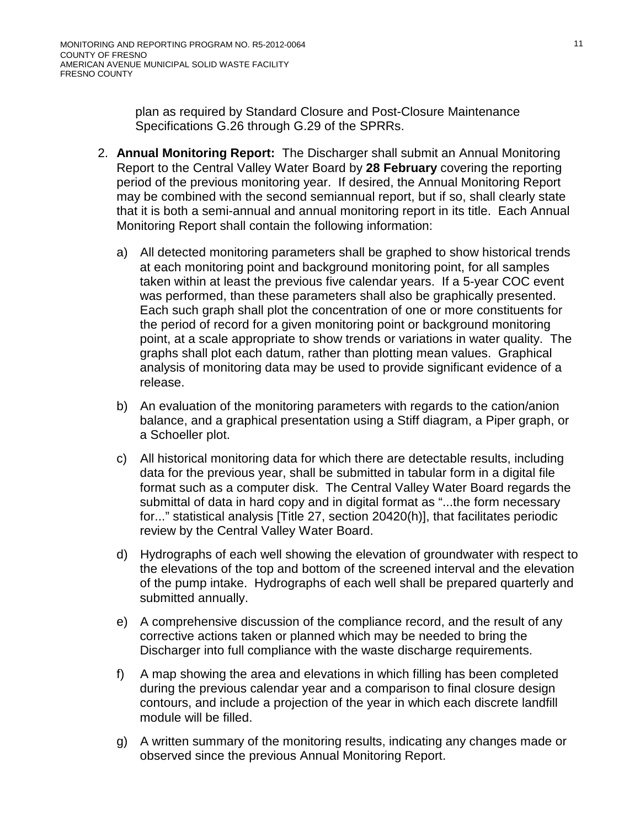plan as required by Standard Closure and Post-Closure Maintenance Specifications G.26 through G.29 of the SPRRs.

- 2. **Annual Monitoring Report:** The Discharger shall submit an Annual Monitoring Report to the Central Valley Water Board by **28 February** covering the reporting period of the previous monitoring year. If desired, the Annual Monitoring Report may be combined with the second semiannual report, but if so, shall clearly state that it is both a semi-annual and annual monitoring report in its title. Each Annual Monitoring Report shall contain the following information:
	- a) All detected monitoring parameters shall be graphed to show historical trends at each monitoring point and background monitoring point, for all samples taken within at least the previous five calendar years. If a 5-year COC event was performed, than these parameters shall also be graphically presented. Each such graph shall plot the concentration of one or more constituents for the period of record for a given monitoring point or background monitoring point, at a scale appropriate to show trends or variations in water quality. The graphs shall plot each datum, rather than plotting mean values. Graphical analysis of monitoring data may be used to provide significant evidence of a release.
	- b) An evaluation of the monitoring parameters with regards to the cation/anion balance, and a graphical presentation using a Stiff diagram, a Piper graph, or a Schoeller plot.
	- c) All historical monitoring data for which there are detectable results, including data for the previous year, shall be submitted in tabular form in a digital file format such as a computer disk. The Central Valley Water Board regards the submittal of data in hard copy and in digital format as "...the form necessary for..." statistical analysis [Title 27, section 20420(h)], that facilitates periodic review by the Central Valley Water Board.
	- d) Hydrographs of each well showing the elevation of groundwater with respect to the elevations of the top and bottom of the screened interval and the elevation of the pump intake. Hydrographs of each well shall be prepared quarterly and submitted annually.
	- e) A comprehensive discussion of the compliance record, and the result of any corrective actions taken or planned which may be needed to bring the Discharger into full compliance with the waste discharge requirements.
	- f) A map showing the area and elevations in which filling has been completed during the previous calendar year and a comparison to final closure design contours, and include a projection of the year in which each discrete landfill module will be filled.
	- g) A written summary of the monitoring results, indicating any changes made or observed since the previous Annual Monitoring Report.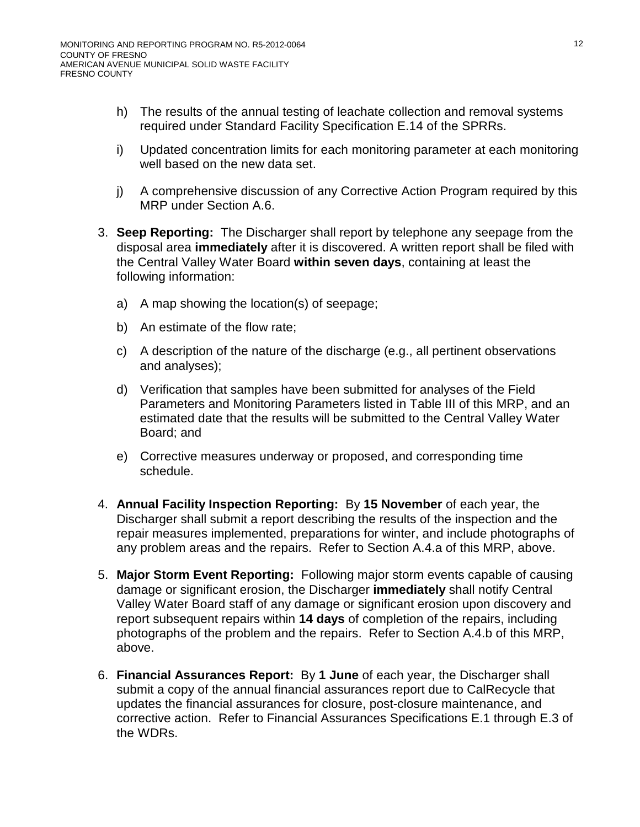- h) The results of the annual testing of leachate collection and removal systems required under Standard Facility Specification E.14 of the SPRRs.
- i) Updated concentration limits for each monitoring parameter at each monitoring well based on the new data set.
- j) A comprehensive discussion of any Corrective Action Program required by this MRP under Section A.6.
- <span id="page-34-0"></span>3. **Seep Reporting:** The Discharger shall report by telephone any seepage from the disposal area **immediately** after it is discovered. A written report shall be filed with the Central Valley Water Board **within seven days**, containing at least the following information:
	- a) A map showing the location(s) of seepage;
	- b) An estimate of the flow rate;
	- c) A description of the nature of the discharge (e.g., all pertinent observations and analyses);
	- d) Verification that samples have been submitted for analyses of the Field Parameters and Monitoring Parameters listed in Table III of this MRP, and an estimated date that the results will be submitted to the Central Valley Water Board; and
	- e) Corrective measures underway or proposed, and corresponding time schedule.
- <span id="page-34-1"></span>4. **Annual Facility Inspection Reporting:** By **15 November** of each year, the Discharger shall submit a report describing the results of the inspection and the repair measures implemented, preparations for winter, and include photographs of any problem areas and the repairs. Refer to Section A[.4.a](#page-28-1) of this MRP, above.
- <span id="page-34-2"></span>5. **Major Storm Event Reporting:** Following major storm events capable of causing damage or significant erosion, the Discharger **immediately** shall notify Central Valley Water Board staff of any damage or significant erosion upon discovery and report subsequent repairs within **14 days** of completion of the repairs, including photographs of the problem and the repairs. Refer to Section A[.4.b](#page-28-2) of this MRP, above.
- 6. **Financial Assurances Report:** By **1 June** of each year, the Discharger shall submit a copy of the annual financial assurances report due to CalRecycle that updates the financial assurances for closure, post-closure maintenance, and corrective action. Refer to Financial Assurances Specifications E.1 through E.3 of the WDRs.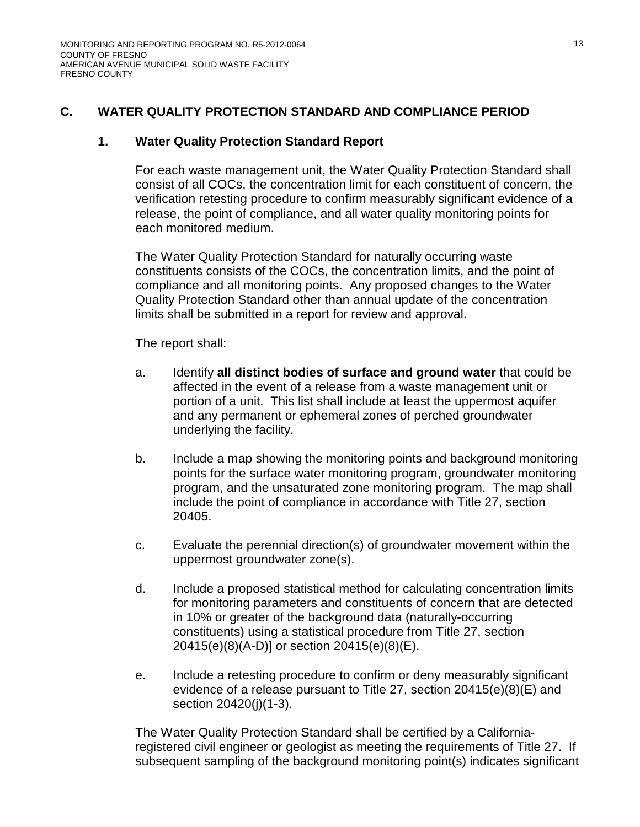## **C. WATER QUALITY PROTECTION STANDARD AND COMPLIANCE PERIOD**

### **1. Water Quality Protection Standard Report**

For each waste management unit, the Water Quality Protection Standard shall consist of all COCs, the concentration limit for each constituent of concern, the verification retesting procedure to confirm measurably significant evidence of a release, the point of compliance, and all water quality monitoring points for each monitored medium.

The Water Quality Protection Standard for naturally occurring waste constituents consists of the COCs, the concentration limits, and the point of compliance and all monitoring points. Any proposed changes to the Water Quality Protection Standard other than annual update of the concentration limits shall be submitted in a report for review and approval.

The report shall:

- a. Identify **all distinct bodies of surface and ground water** that could be affected in the event of a release from a waste management unit or portion of a unit. This list shall include at least the uppermost aquifer and any permanent or ephemeral zones of perched groundwater underlying the facility.
- b. Include a map showing the monitoring points and background monitoring points for the surface water monitoring program, groundwater monitoring program, and the unsaturated zone monitoring program. The map shall include the point of compliance in accordance with Title 27, section 20405.
- c. Evaluate the perennial direction(s) of groundwater movement within the uppermost groundwater zone(s).
- d. Include a proposed statistical method for calculating concentration limits for monitoring parameters and constituents of concern that are detected in 10% or greater of the background data (naturally-occurring constituents) using a statistical procedure from Title 27, section 20415(e)(8)(A-D)] or section 20415(e)(8)(E).
- e. Include a retesting procedure to confirm or deny measurably significant evidence of a release pursuant to Title 27, section 20415(e)(8)(E) and section 20420(j)(1-3).

The Water Quality Protection Standard shall be certified by a Californiaregistered civil engineer or geologist as meeting the requirements of Title 27. If subsequent sampling of the background monitoring point(s) indicates significant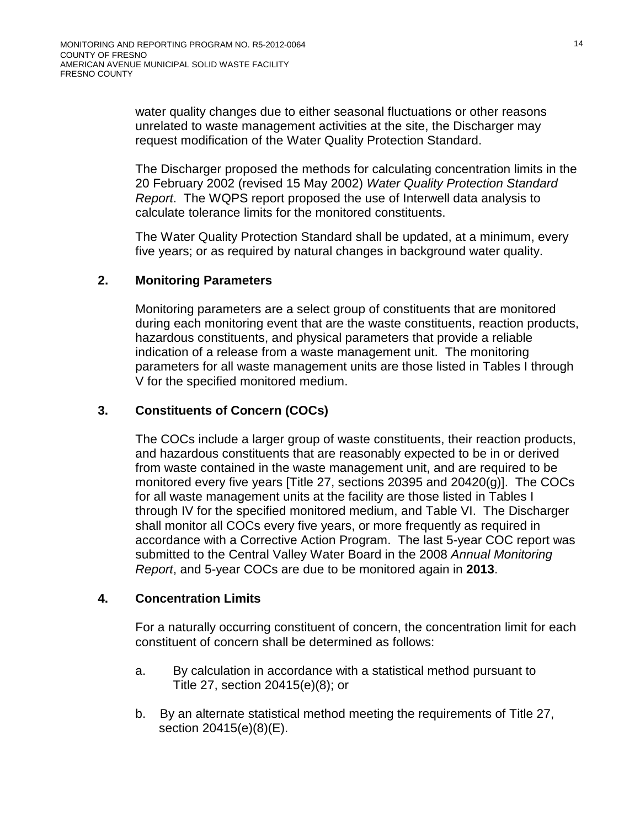water quality changes due to either seasonal fluctuations or other reasons unrelated to waste management activities at the site, the Discharger may request modification of the Water Quality Protection Standard.

The Discharger proposed the methods for calculating concentration limits in the 20 February 2002 (revised 15 May 2002) *Water Quality Protection Standard Report*. The WQPS report proposed the use of Interwell data analysis to calculate tolerance limits for the monitored constituents.

The Water Quality Protection Standard shall be updated, at a minimum, every five years; or as required by natural changes in background water quality.

### **2. Monitoring Parameters**

Monitoring parameters are a select group of constituents that are monitored during each monitoring event that are the waste constituents, reaction products, hazardous constituents, and physical parameters that provide a reliable indication of a release from a waste management unit. The monitoring parameters for all waste management units are those listed in Tables I through V for the specified monitored medium.

## **3. Constituents of Concern (COCs)**

The COCs include a larger group of waste constituents, their reaction products, and hazardous constituents that are reasonably expected to be in or derived from waste contained in the waste management unit, and are required to be monitored every five years [Title 27, sections 20395 and 20420(g)]. The COCs for all waste management units at the facility are those listed in Tables I through IV for the specified monitored medium, and Table VI. The Discharger shall monitor all COCs every five years, or more frequently as required in accordance with a Corrective Action Program. The last 5-year COC report was submitted to the Central Valley Water Board in the 2008 *Annual Monitoring Report*, and 5-year COCs are due to be monitored again in **2013**.

### **4. Concentration Limits**

For a naturally occurring constituent of concern, the concentration limit for each constituent of concern shall be determined as follows:

- a. By calculation in accordance with a statistical method pursuant to Title 27, section 20415(e)(8); or
- b. By an alternate statistical method meeting the requirements of Title 27, section 20415(e)(8)(E).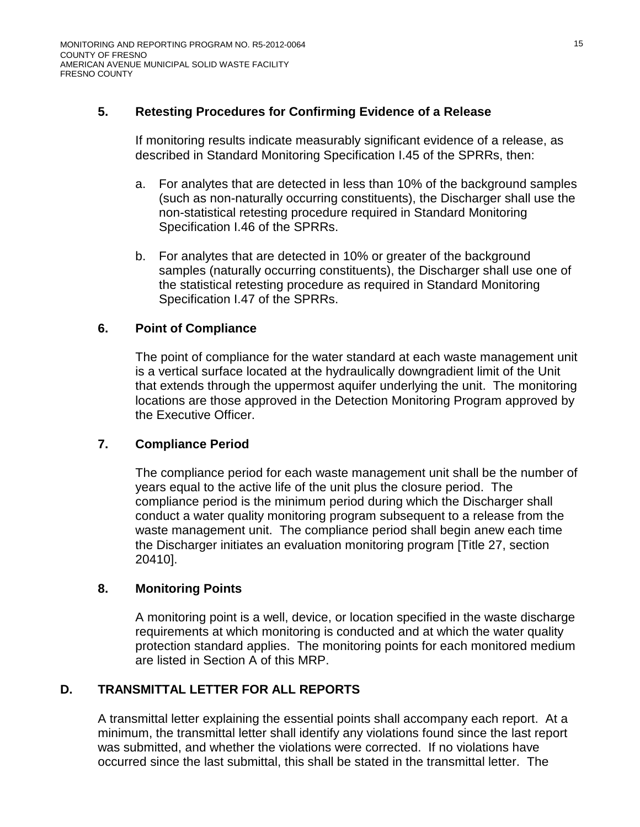## **5. Retesting Procedures for Confirming Evidence of a Release**

If monitoring results indicate measurably significant evidence of a release, as described in Standard Monitoring Specification I.45 of the SPRRs, then:

- a. For analytes that are detected in less than 10% of the background samples (such as non-naturally occurring constituents), the Discharger shall use the non-statistical retesting procedure required in Standard Monitoring Specification I.46 of the SPRRs.
- b. For analytes that are detected in 10% or greater of the background samples (naturally occurring constituents), the Discharger shall use one of the statistical retesting procedure as required in Standard Monitoring Specification I.47 of the SPRRs.

### **6. Point of Compliance**

The point of compliance for the water standard at each waste management unit is a vertical surface located at the hydraulically downgradient limit of the Unit that extends through the uppermost aquifer underlying the unit. The monitoring locations are those approved in the Detection Monitoring Program approved by the Executive Officer.

## **7. Compliance Period**

The compliance period for each waste management unit shall be the number of years equal to the active life of the unit plus the closure period. The compliance period is the minimum period during which the Discharger shall conduct a water quality monitoring program subsequent to a release from the waste management unit. The compliance period shall begin anew each time the Discharger initiates an evaluation monitoring program [Title 27, section 20410].

## **8. Monitoring Points**

A monitoring point is a well, device, or location specified in the waste discharge requirements at which monitoring is conducted and at which the water quality protection standard applies. The monitoring points for each monitored medium are listed in Section A of this MRP.

## **D. TRANSMITTAL LETTER FOR ALL REPORTS**

A transmittal letter explaining the essential points shall accompany each report. At a minimum, the transmittal letter shall identify any violations found since the last report was submitted, and whether the violations were corrected. If no violations have occurred since the last submittal, this shall be stated in the transmittal letter. The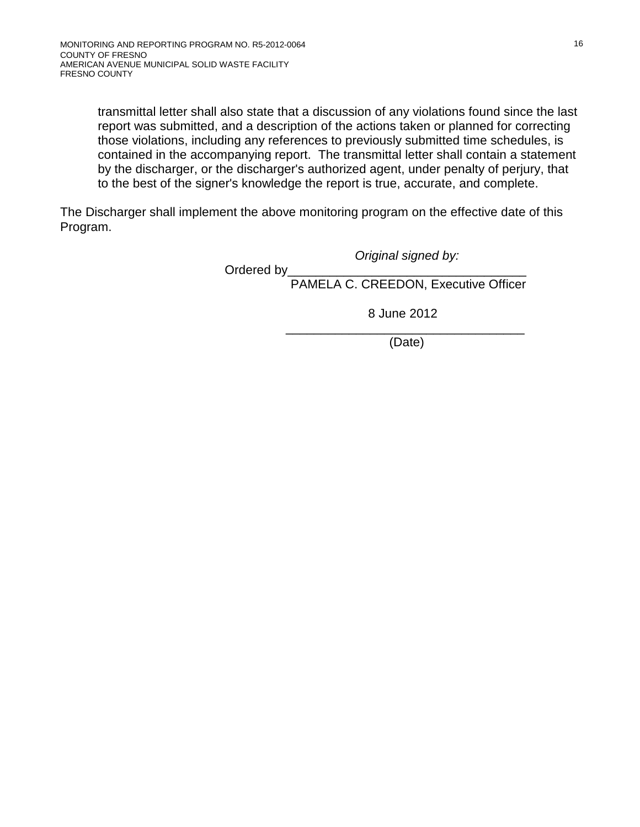transmittal letter shall also state that a discussion of any violations found since the last report was submitted, and a description of the actions taken or planned for correcting those violations, including any references to previously submitted time schedules, is contained in the accompanying report. The transmittal letter shall contain a statement by the discharger, or the discharger's authorized agent, under penalty of perjury, that to the best of the signer's knowledge the report is true, accurate, and complete.

The Discharger shall implement the above monitoring program on the effective date of this Program.

*Original signed by:*

Ordered by PAMELA C. CREEDON, Executive Officer

8 June 2012

\_\_\_\_\_\_\_\_\_\_\_\_\_\_\_\_\_\_\_\_\_\_\_\_\_\_\_\_\_\_\_\_\_\_ (Date)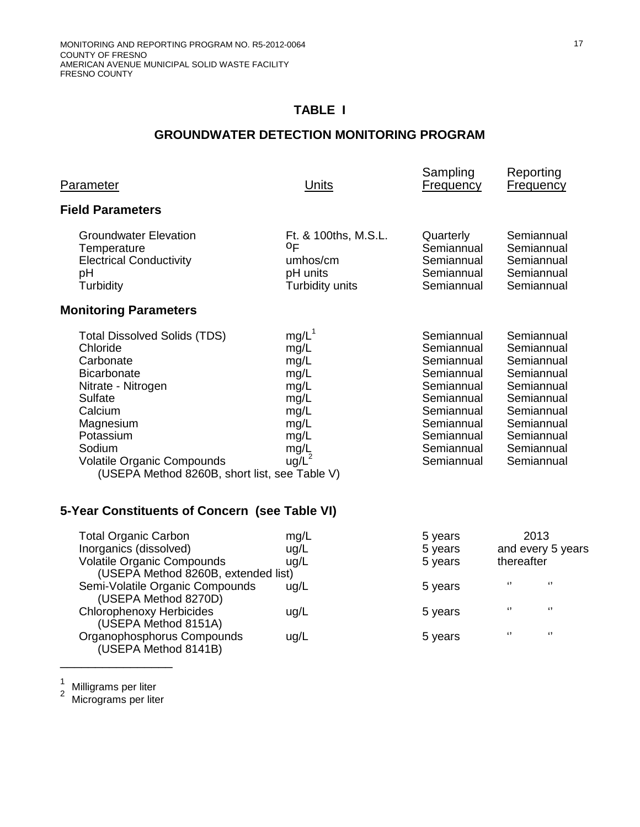# **GROUNDWATER DETECTION MONITORING PROGRAM**

| Parameter                                                                                                                                                                                                                                                | <b>Units</b>                                                                                          | Sampling<br><b>Frequency</b>                                                                                                                           | Reporting<br><b>Frequency</b>                                                                                                                          |
|----------------------------------------------------------------------------------------------------------------------------------------------------------------------------------------------------------------------------------------------------------|-------------------------------------------------------------------------------------------------------|--------------------------------------------------------------------------------------------------------------------------------------------------------|--------------------------------------------------------------------------------------------------------------------------------------------------------|
| <b>Field Parameters</b>                                                                                                                                                                                                                                  |                                                                                                       |                                                                                                                                                        |                                                                                                                                                        |
| <b>Groundwater Elevation</b><br>Temperature<br><b>Electrical Conductivity</b><br>pH<br>Turbidity                                                                                                                                                         | Ft. & 100ths, M.S.L.<br>0F<br>umhos/cm<br>pH units<br>Turbidity units                                 | Quarterly<br>Semiannual<br>Semiannual<br>Semiannual<br>Semiannual                                                                                      | Semiannual<br>Semiannual<br>Semiannual<br>Semiannual<br>Semiannual                                                                                     |
| <b>Monitoring Parameters</b>                                                                                                                                                                                                                             |                                                                                                       |                                                                                                                                                        |                                                                                                                                                        |
| <b>Total Dissolved Solids (TDS)</b><br>Chloride<br>Carbonate<br><b>Bicarbonate</b><br>Nitrate - Nitrogen<br>Sulfate<br>Calcium<br>Magnesium<br>Potassium<br>Sodium<br><b>Volatile Organic Compounds</b><br>(USEPA Method 8260B, short list, see Table V) | mg/L <sup>1</sup><br>mg/L<br>mg/L<br>mg/L<br>mg/L<br>mg/L<br>mg/L<br>mg/L<br>mg/L<br>mg/L<br>$ug/L^2$ | Semiannual<br>Semiannual<br>Semiannual<br>Semiannual<br>Semiannual<br>Semiannual<br>Semiannual<br>Semiannual<br>Semiannual<br>Semiannual<br>Semiannual | Semiannual<br>Semiannual<br>Semiannual<br>Semiannual<br>Semiannual<br>Semiannual<br>Semiannual<br>Semiannual<br>Semiannual<br>Semiannual<br>Semiannual |
| 5-Year Constituents of Concern (see Table VI)                                                                                                                                                                                                            |                                                                                                       |                                                                                                                                                        |                                                                                                                                                        |
| <b>Total Organic Carbon</b><br>Inorganics (dissolved)<br>Volatile Organic Compounds<br>(USEPA Method 8260B, extended list)                                                                                                                               | mg/L<br>ug/L<br>ug/L                                                                                  | 5 years<br>5 years<br>5 years                                                                                                                          | 2013<br>and every 5 years<br>thereafter                                                                                                                |
| Semi-Volatile Organic Compounds<br>(USEPA Method 8270D)                                                                                                                                                                                                  | ug/L                                                                                                  | 5 years                                                                                                                                                | $\blacksquare$<br>$\epsilon$                                                                                                                           |
| <b>Chlorophenoxy Herbicides</b><br>(USEPA Method 8151A)                                                                                                                                                                                                  | ug/L                                                                                                  | 5 years                                                                                                                                                | $\pmb{\mathfrak{c}}$<br>$\epsilon$                                                                                                                     |
| Organophosphorus Compounds                                                                                                                                                                                                                               | ug/L                                                                                                  | 5 years                                                                                                                                                | $\mathbf{G}$<br>$\boldsymbol{\mathsf{G}}$                                                                                                              |

 $\frac{1}{2}$ 

 $\frac{1}{2}$  Milligrams per liter<br><sup>2</sup> Micrograms per liter

\_\_\_\_\_\_\_\_\_\_\_\_\_\_\_\_

(USEPA Method 8141B)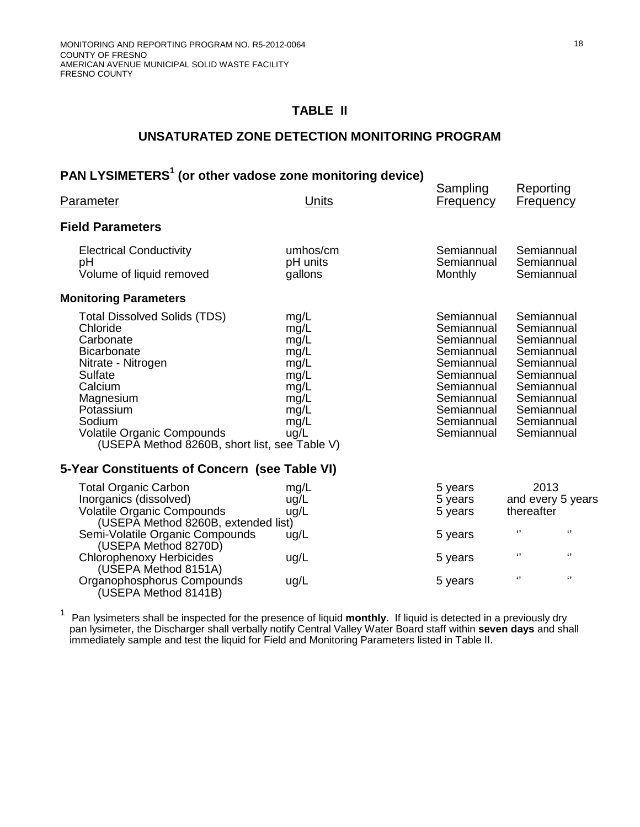(USEPA Method 8151A)

(USEPA Method 8141B)

### **TABLE II**

### **UNSATURATED ZONE DETECTION MONITORING PROGRAM**

# **PAN LYSIMETERS<sup>1</sup> (or other vadose zone monitoring device)**

| Parameter                                                                                                                                                                                                                                                | <u>Units</u>                                                                         | Sampling<br><b>Frequency</b>                                                                                                                           | Reporting<br><b>Frequency</b>                                                                                                                          |
|----------------------------------------------------------------------------------------------------------------------------------------------------------------------------------------------------------------------------------------------------------|--------------------------------------------------------------------------------------|--------------------------------------------------------------------------------------------------------------------------------------------------------|--------------------------------------------------------------------------------------------------------------------------------------------------------|
| <b>Field Parameters</b>                                                                                                                                                                                                                                  |                                                                                      |                                                                                                                                                        |                                                                                                                                                        |
| <b>Electrical Conductivity</b><br>рH<br>Volume of liquid removed                                                                                                                                                                                         | umhos/cm<br>pH units<br>gallons                                                      | Semiannual<br>Semiannual<br><b>Monthly</b>                                                                                                             | Semiannual<br>Semiannual<br>Semiannual                                                                                                                 |
| <b>Monitoring Parameters</b>                                                                                                                                                                                                                             |                                                                                      |                                                                                                                                                        |                                                                                                                                                        |
| <b>Total Dissolved Solids (TDS)</b><br>Chloride<br>Carbonate<br><b>Bicarbonate</b><br>Nitrate - Nitrogen<br>Sulfate<br>Calcium<br>Magnesium<br>Potassium<br>Sodium<br><b>Volatile Organic Compounds</b><br>(USEPA Method 8260B, short list, see Table V) | mg/L<br>mg/L<br>mg/L<br>mg/L<br>mg/L<br>mg/L<br>mg/L<br>mg/L<br>mg/L<br>mg/L<br>ug/L | Semiannual<br>Semiannual<br>Semiannual<br>Semiannual<br>Semiannual<br>Semiannual<br>Semiannual<br>Semiannual<br>Semiannual<br>Semiannual<br>Semiannual | Semiannual<br>Semiannual<br>Semiannual<br>Semiannual<br>Semiannual<br>Semiannual<br>Semiannual<br>Semiannual<br>Semiannual<br>Semiannual<br>Semiannual |
| 5-Year Constituents of Concern (see Table VI)                                                                                                                                                                                                            |                                                                                      |                                                                                                                                                        |                                                                                                                                                        |
| <b>Total Organic Carbon</b><br>Inorganics (dissolved)<br><b>Volatile Organic Compounds</b><br>(USEPĂ Method 8260B, extended list)                                                                                                                        | mg/L<br>ug/L<br>ug/L                                                                 | 5 years<br>5 years<br>5 years                                                                                                                          | 2013<br>and every 5 years<br>thereafter                                                                                                                |
| Semi-Volatile Organic Compounds<br>(USEPA Method 8270D)<br>Chlorophenoxy Herbicides                                                                                                                                                                      | ug/L<br>ug/L                                                                         | 5 years<br>5 years                                                                                                                                     | $\lceil$<br>$\lq$<br>$\boldsymbol{\mathsf{G}}$<br>$\epsilon$                                                                                           |
|                                                                                                                                                                                                                                                          |                                                                                      |                                                                                                                                                        |                                                                                                                                                        |

<sup>1</sup> Pan lysimeters shall be inspected for the presence of liquid **monthly**. If liquid is detected in a previously dry pan lysimeter, the Discharger shall verbally notify Central Valley Water Board staff within **seven days** and shall immediately sample and test the liquid for Field and Monitoring Parameters listed in Table II.

Organophosphorus Compounds ug/L strategy and the Syears for the formulation of the formulation of the formulation of the formulation of the formulation of the formulation of the formulation of the formulation of the formul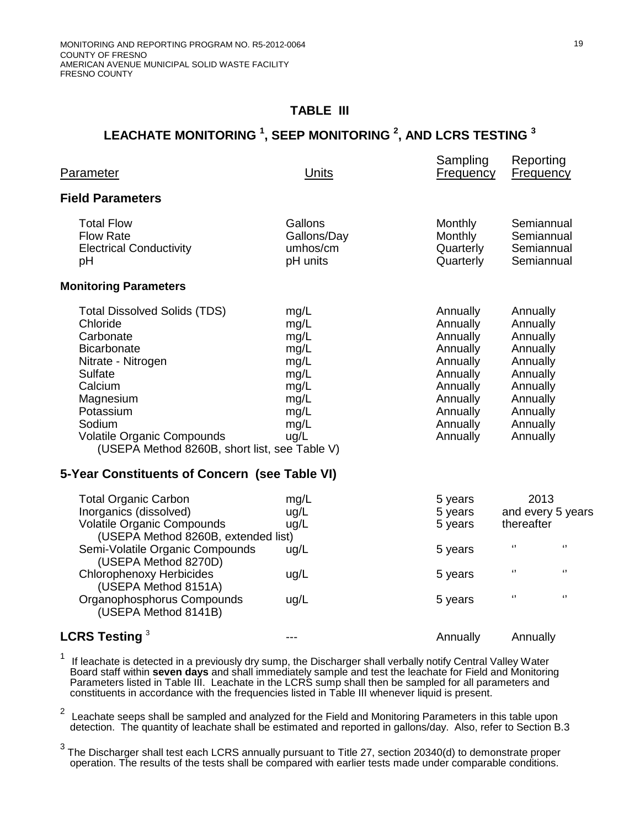## **TABLE III**

# **LEACHATE MONITORING <sup>1</sup> , SEEP MONITORING <sup>2</sup> , AND LCRS TESTING <sup>3</sup>**

| Parameter                                                                                                                                                                                                                                                                                                     | Units                                                                                | odliipiiliy<br><b>Frequency</b>                                                                                                  | <b>Neporting</b><br><b>Frequency</b>                                                                                                                                              |
|---------------------------------------------------------------------------------------------------------------------------------------------------------------------------------------------------------------------------------------------------------------------------------------------------------------|--------------------------------------------------------------------------------------|----------------------------------------------------------------------------------------------------------------------------------|-----------------------------------------------------------------------------------------------------------------------------------------------------------------------------------|
| <b>Field Parameters</b>                                                                                                                                                                                                                                                                                       |                                                                                      |                                                                                                                                  |                                                                                                                                                                                   |
| <b>Total Flow</b><br><b>Flow Rate</b><br><b>Electrical Conductivity</b><br>pH                                                                                                                                                                                                                                 | Gallons<br>Gallons/Day<br>umhos/cm<br>pH units                                       | Monthly<br>Monthly<br>Quarterly<br>Quarterly                                                                                     | Semiannual<br>Semiannual<br>Semiannual<br>Semiannual                                                                                                                              |
| <b>Monitoring Parameters</b>                                                                                                                                                                                                                                                                                  |                                                                                      |                                                                                                                                  |                                                                                                                                                                                   |
| <b>Total Dissolved Solids (TDS)</b><br>Chloride<br>Carbonate<br><b>Bicarbonate</b><br>Nitrate - Nitrogen<br>Sulfate<br>Calcium<br>Magnesium<br>Potassium<br>Sodium<br>Volatile Organic Compounds<br>(USEPA Method 8260B, short list, see Table V)                                                             | mg/L<br>mg/L<br>mg/L<br>mg/L<br>mg/L<br>mg/L<br>mg/L<br>mg/L<br>mg/L<br>mg/L<br>ug/L | Annually<br>Annually<br>Annually<br>Annually<br>Annually<br>Annually<br>Annually<br>Annually<br>Annually<br>Annually<br>Annually | Annually<br>Annually<br>Annually<br>Annually<br>Annually<br>Annually<br>Annually<br>Annually<br>Annually<br>Annually<br>Annually                                                  |
| 5-Year Constituents of Concern (see Table VI)                                                                                                                                                                                                                                                                 |                                                                                      |                                                                                                                                  |                                                                                                                                                                                   |
| <b>Total Organic Carbon</b><br>Inorganics (dissolved)<br><b>Volatile Organic Compounds</b><br>(USEPA Method 8260B, extended list)<br>Semi-Volatile Organic Compounds<br>(USEPA Method 8270D)<br><b>Chlorophenoxy Herbicides</b><br>(USEPA Method 8151A)<br>Organophosphorus Compounds<br>(USEPA Method 8141B) | mg/L<br>ug/L<br>ug/L<br>ug/L<br>ug/L<br>ug/L                                         | 5 years<br>5 years<br>5 years<br>5 years<br>5 years<br>5 years                                                                   | 2013<br>and every 5 years<br>thereafter<br>$\pmb{\mathfrak{c}}$<br>$\pmb{\mathfrak{c}}$<br>$\boldsymbol{\mathsf{G}}$<br>$\mathbf{G}$<br>$\boldsymbol{\mathsf{G}}$<br>$\mathbf{G}$ |
| LCRS Testing <sup>3</sup>                                                                                                                                                                                                                                                                                     | ---                                                                                  | Annually                                                                                                                         | Annually                                                                                                                                                                          |

1 If leachate is detected in a previously dry sump, the Discharger shall verbally notify Central Valley Water Board staff within **seven days** and shall immediately sample and test the leachate for Field and Monitoring Parameters listed in Table III. Leachate in the LCRS sump shall then be sampled for all parameters and constituents in accordance with the frequencies listed in Table III whenever liquid is present.

2 Leachate seeps shall be sampled and analyzed for the Field and Monitoring Parameters in this table upon detection. The quantity of leachate shall be estimated and reported in gallons/day. Also, refer to Section B[.3](#page-34-0)

<sup>3</sup> The Discharger shall test each LCRS annually pursuant to Title 27, section 20340(d) to demonstrate proper operation. The results of the tests shall be compared with earlier tests made under comparable conditions.

Sampling Departing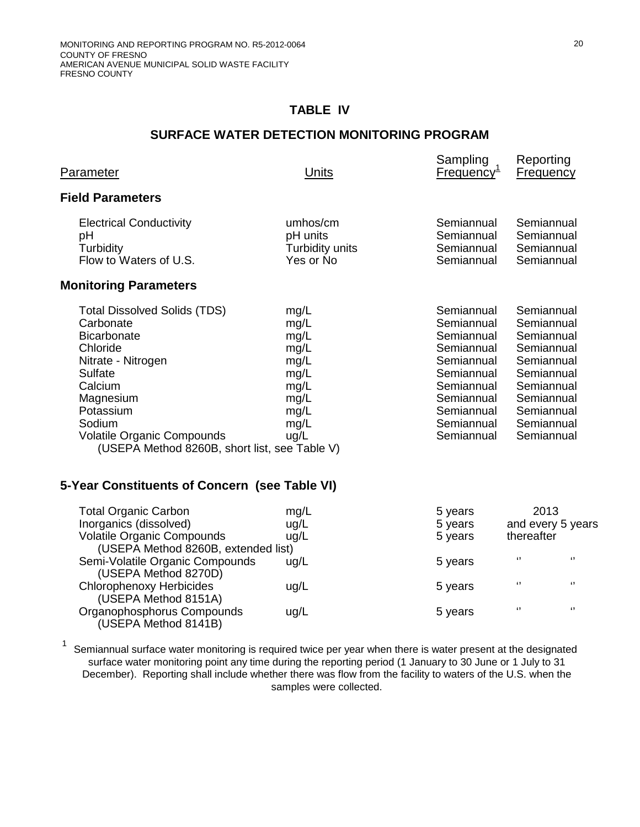(USEPA Method 8141B)

# **TABLE IV**

# **SURFACE WATER DETECTION MONITORING PROGRAM**

| Parameter                                                                                                                                                                                                                                         | Units                                                                                | oampiing<br><u>Frequency<sup>1</sup></u>                                                                                                               | <b>IVEDOLILIN</b><br><b>Frequency</b>                                                                                                                  |
|---------------------------------------------------------------------------------------------------------------------------------------------------------------------------------------------------------------------------------------------------|--------------------------------------------------------------------------------------|--------------------------------------------------------------------------------------------------------------------------------------------------------|--------------------------------------------------------------------------------------------------------------------------------------------------------|
| <b>Field Parameters</b>                                                                                                                                                                                                                           |                                                                                      |                                                                                                                                                        |                                                                                                                                                        |
| <b>Electrical Conductivity</b><br>рH<br>Turbidity<br>Flow to Waters of U.S.                                                                                                                                                                       | umhos/cm<br>pH units<br>Turbidity units<br>Yes or No                                 | Semiannual<br>Semiannual<br>Semiannual<br>Semiannual                                                                                                   | Semiannual<br>Semiannual<br>Semiannual<br>Semiannual                                                                                                   |
| <b>Monitoring Parameters</b>                                                                                                                                                                                                                      |                                                                                      |                                                                                                                                                        |                                                                                                                                                        |
| <b>Total Dissolved Solids (TDS)</b><br>Carbonate<br><b>Bicarbonate</b><br>Chloride<br>Nitrate - Nitrogen<br>Sulfate<br>Calcium<br>Magnesium<br>Potassium<br>Sodium<br>Volatile Organic Compounds<br>(USEPA Method 8260B, short list, see Table V) | mg/L<br>mg/L<br>mg/L<br>mg/L<br>mg/L<br>mg/L<br>mg/L<br>mg/L<br>mg/L<br>mg/L<br>ug/L | Semiannual<br>Semiannual<br>Semiannual<br>Semiannual<br>Semiannual<br>Semiannual<br>Semiannual<br>Semiannual<br>Semiannual<br>Semiannual<br>Semiannual | Semiannual<br>Semiannual<br>Semiannual<br>Semiannual<br>Semiannual<br>Semiannual<br>Semiannual<br>Semiannual<br>Semiannual<br>Semiannual<br>Semiannual |
| 5-Year Constituents of Concern (see Table VI)                                                                                                                                                                                                     |                                                                                      |                                                                                                                                                        |                                                                                                                                                        |
| <b>Total Organic Carbon</b><br>Inorganics (dissolved)<br><b>Volatile Organic Compounds</b><br>(USEPA Method 8260B, extended list)                                                                                                                 | mg/L<br>ug/L<br>ug/L                                                                 | 5 years<br>5 years<br>5 years                                                                                                                          | 2013<br>and every 5 years<br>thereafter                                                                                                                |
| Semi-Volatile Organic Compounds<br>(USEPA Method 8270D)                                                                                                                                                                                           | ug/L                                                                                 | 5 years                                                                                                                                                | $\epsilon$<br>$\lceil$                                                                                                                                 |
| <b>Chlorophenoxy Herbicides</b><br>(USEPA Method 8151A)                                                                                                                                                                                           | ug/L                                                                                 | 5 years                                                                                                                                                | $\pmb{\mathfrak{c}}$<br>$\pmb{\mathfrak{c}}$<br>$\epsilon$<br>$\boldsymbol{\Omega}$                                                                    |
| Organophosphorus Compounds                                                                                                                                                                                                                        | ug/L                                                                                 | 5 years                                                                                                                                                |                                                                                                                                                        |

1 Semiannual surface water monitoring is required twice per year when there is water present at the designated surface water monitoring point any time during the reporting period (1 January to 30 June or 1 July to 31 December). Reporting shall include whether there was flow from the facility to waters of the U.S. when the samples were collected.

Sampling Poporting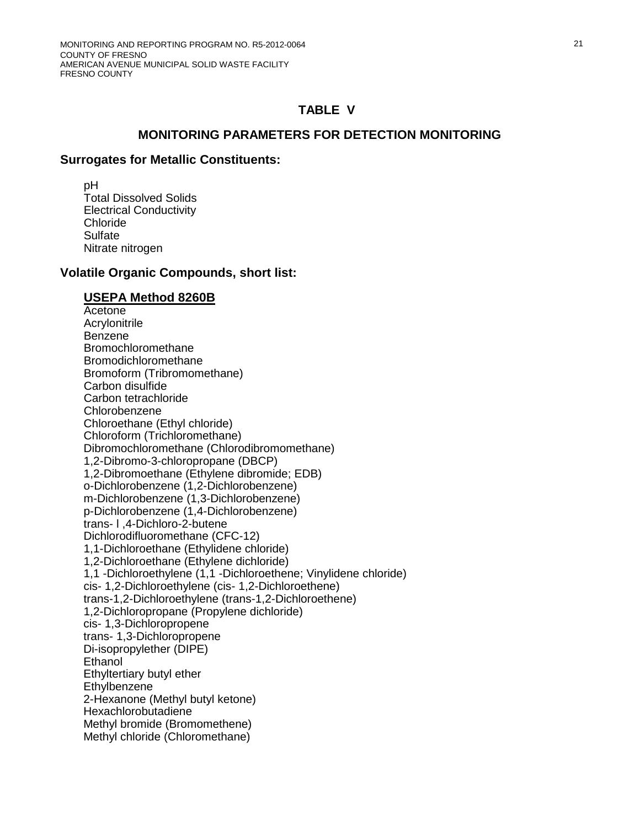#### **MONITORING PARAMETERS FOR DETECTION MONITORING**

#### **Surrogates for Metallic Constituents:**

 pH Total Dissolved Solids Electrical Conductivity Chloride **Sulfate** Nitrate nitrogen

#### **Volatile Organic Compounds, short list:**

#### **USEPA Method 8260B**

Acetone Acrylonitrile Benzene Bromochloromethane Bromodichloromethane Bromoform (Tribromomethane) Carbon disulfide Carbon tetrachloride Chlorobenzene Chloroethane (Ethyl chloride) Chloroform (Trichloromethane) Dibromochloromethane (Chlorodibromomethane) 1,2-Dibromo-3-chloropropane (DBCP) 1,2-Dibromoethane (Ethylene dibromide; EDB) o-Dichlorobenzene (1,2-Dichlorobenzene) m-Dichlorobenzene (1,3-Dichlorobenzene) p-Dichlorobenzene (1,4-Dichlorobenzene) trans- l ,4-Dichloro-2-butene Dichlorodifluoromethane (CFC-12) 1,1-Dichloroethane (Ethylidene chloride) 1,2-Dichloroethane (Ethylene dichloride) 1,1 -Dichloroethylene (1,1 -Dichloroethene; Vinylidene chloride) cis- 1,2-Dichloroethylene (cis- 1,2-Dichloroethene) trans-1,2-Dichloroethylene (trans-1,2-Dichloroethene) 1,2-Dichloropropane (Propylene dichloride) cis- 1,3-Dichloropropene trans- 1,3-Dichloropropene Di-isopropylether (DIPE) **Ethanol** Ethyltertiary butyl ether **Ethylbenzene** 2-Hexanone (Methyl butyl ketone) Hexachlorobutadiene Methyl bromide (Bromomethene) Methyl chloride (Chloromethane)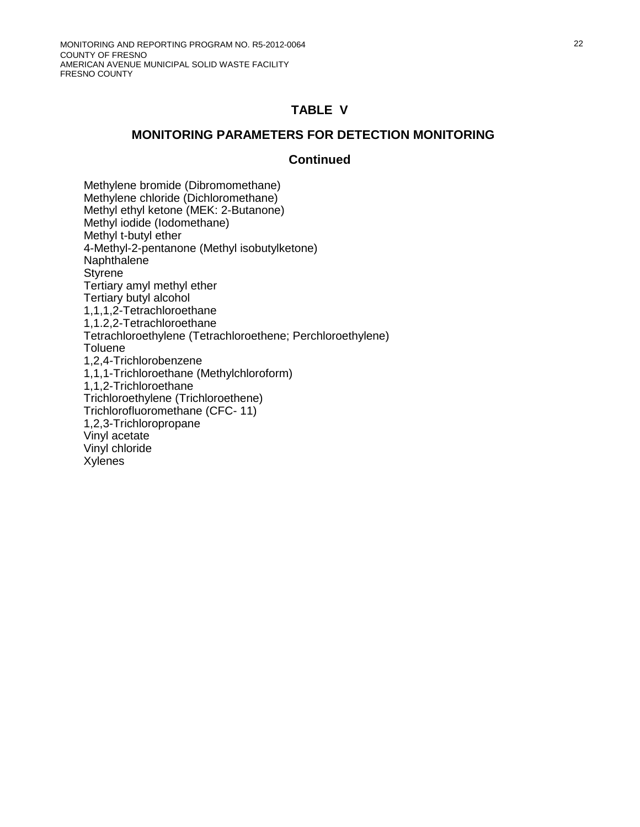#### **MONITORING PARAMETERS FOR DETECTION MONITORING**

#### **Continued**

Methylene bromide (Dibromomethane) Methylene chloride (Dichloromethane) Methyl ethyl ketone (MEK: 2-Butanone) Methyl iodide (Iodomethane) Methyl t-butyl ether 4-Methyl-2-pentanone (Methyl isobutylketone) Naphthalene **Styrene** Tertiary amyl methyl ether Tertiary butyl alcohol 1,1,1,2-Tetrachloroethane 1,1.2,2-Tetrachloroethane Tetrachloroethylene (Tetrachloroethene; Perchloroethylene) **Toluene** 1,2,4-Trichlorobenzene 1,1,1-Trichloroethane (Methylchloroform) 1,1,2-Trichloroethane Trichloroethylene (Trichloroethene) Trichlorofluoromethane (CFC- 11) 1,2,3-Trichloropropane Vinyl acetate Vinyl chloride Xylenes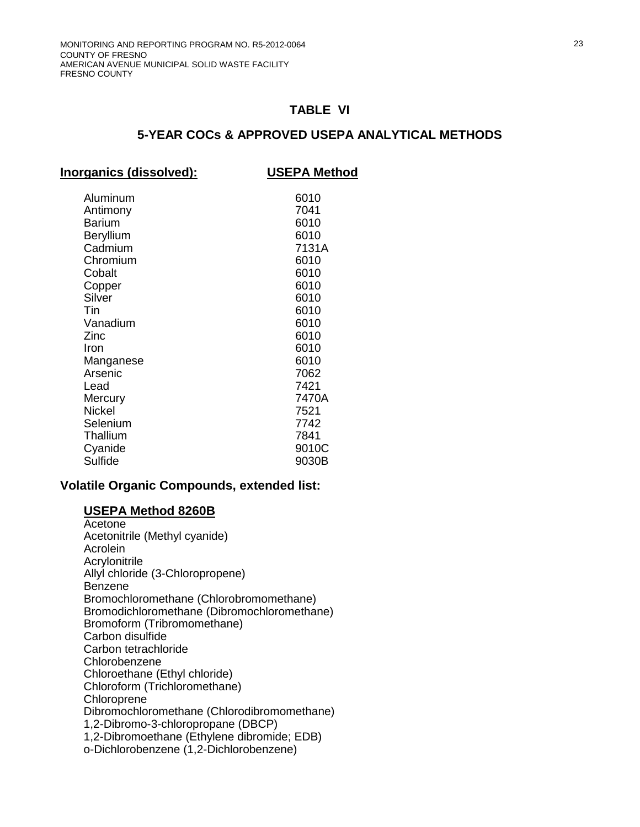### **5-YEAR COCs & APPROVED USEPA ANALYTICAL METHODS**

#### **Volatile Organic Compounds, extended list:**

#### **USEPA Method 8260B**

Acetone Acetonitrile (Methyl cyanide) Acrolein Acrylonitrile Allyl chloride (3-Chloropropene) Benzene Bromochloromethane (Chlorobromomethane) Bromodichloromethane (Dibromochloromethane) Bromoform (Tribromomethane) Carbon disulfide Carbon tetrachloride Chlorobenzene Chloroethane (Ethyl chloride) Chloroform (Trichloromethane) **Chloroprene** Dibromochloromethane (Chlorodibromomethane) 1,2-Dibromo-3-chloropropane (DBCP) 1,2-Dibromoethane (Ethylene dibromide; EDB) o-Dichlorobenzene (1,2-Dichlorobenzene)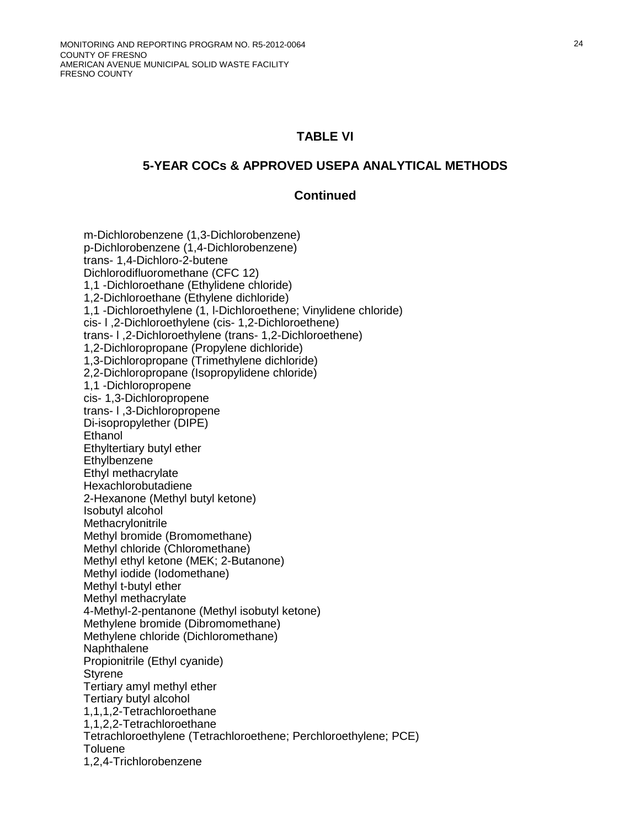#### **5-YEAR COCs & APPROVED USEPA ANALYTICAL METHODS**

#### **Continued**

m-Dichlorobenzene (1,3-Dichlorobenzene) p-Dichlorobenzene (1,4-Dichlorobenzene) trans- 1,4-Dichloro-2-butene Dichlorodifluoromethane (CFC 12) 1,1 -Dichloroethane (Ethylidene chloride) 1,2-Dichloroethane (Ethylene dichloride) 1,1 -Dichloroethylene (1, l-Dichloroethene; Vinylidene chloride) cis- l ,2-Dichloroethylene (cis- 1,2-Dichloroethene) trans- l ,2-Dichloroethylene (trans- 1,2-Dichloroethene) 1,2-Dichloropropane (Propylene dichloride) 1,3-Dichloropropane (Trimethylene dichloride) 2,2-Dichloropropane (Isopropylidene chloride) 1,1 -Dichloropropene cis- 1,3-Dichloropropene trans- l ,3-Dichloropropene Di-isopropylether (DIPE) **Ethanol** Ethyltertiary butyl ether **Ethylbenzene** Ethyl methacrylate Hexachlorobutadiene 2-Hexanone (Methyl butyl ketone) Isobutyl alcohol **Methacrylonitrile** Methyl bromide (Bromomethane) Methyl chloride (Chloromethane) Methyl ethyl ketone (MEK; 2-Butanone) Methyl iodide (Iodomethane) Methyl t-butyl ether Methyl methacrylate 4-Methyl-2-pentanone (Methyl isobutyl ketone) Methylene bromide (Dibromomethane) Methylene chloride (Dichloromethane) **Naphthalene** Propionitrile (Ethyl cyanide) **Styrene** Tertiary amyl methyl ether Tertiary butyl alcohol 1,1,1,2-Tetrachloroethane 1,1,2,2-Tetrachloroethane Tetrachloroethylene (Tetrachloroethene; Perchloroethylene; PCE) **Toluene** 1,2,4-Trichlorobenzene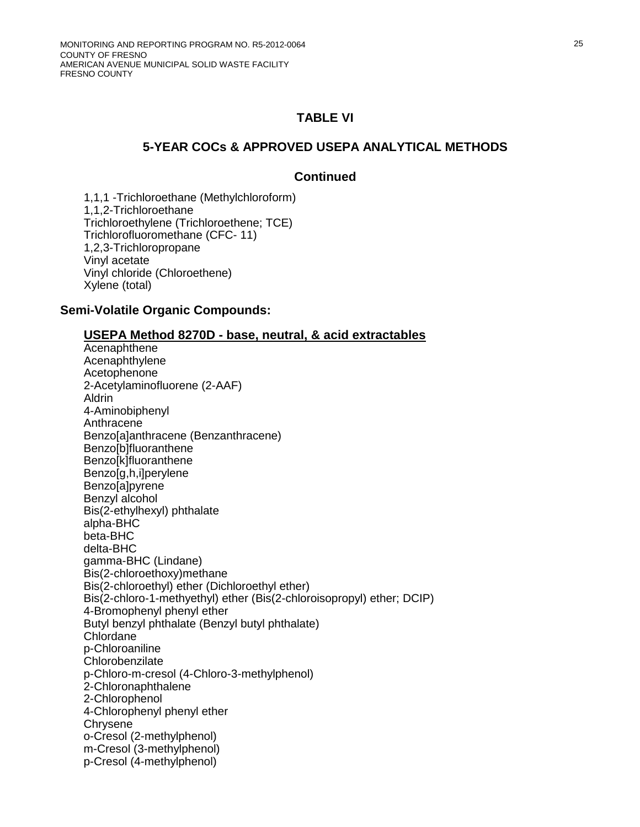### **5-YEAR COCs & APPROVED USEPA ANALYTICAL METHODS**

#### **Continued**

1,1,1 -Trichloroethane (Methylchloroform) 1,1,2-Trichloroethane Trichloroethylene (Trichloroethene; TCE) Trichlorofluoromethane (CFC- 11) 1,2,3-Trichloropropane Vinyl acetate Vinyl chloride (Chloroethene) Xylene (total)

#### **Semi-Volatile Organic Compounds:**

#### **USEPA Method 8270D - base, neutral, & acid extractables**

Acenaphthene Acenaphthylene Acetophenone 2-Acetylaminofluorene (2-AAF) Aldrin 4-Aminobiphenyl Anthracene Benzo[a]anthracene (Benzanthracene) Benzo[b]fluoranthene Benzo[k]fluoranthene Benzo[g,h,i]perylene Benzo[a]pyrene Benzyl alcohol Bis(2-ethylhexyl) phthalate alpha-BHC beta-BHC delta-BHC gamma-BHC (Lindane) Bis(2-chloroethoxy)methane Bis(2-chloroethyl) ether (Dichloroethyl ether) Bis(2-chloro-1-methyethyl) ether (Bis(2-chloroisopropyl) ether; DCIP) 4-Bromophenyl phenyl ether Butyl benzyl phthalate (Benzyl butyl phthalate) Chlordane p-Chloroaniline **Chlorobenzilate** p-Chloro-m-cresol (4-Chloro-3-methylphenol) 2-Chloronaphthalene 2-Chlorophenol 4-Chlorophenyl phenyl ether Chrysene o-Cresol (2-methylphenol) m-Cresol (3-methylphenol) p-Cresol (4-methylphenol)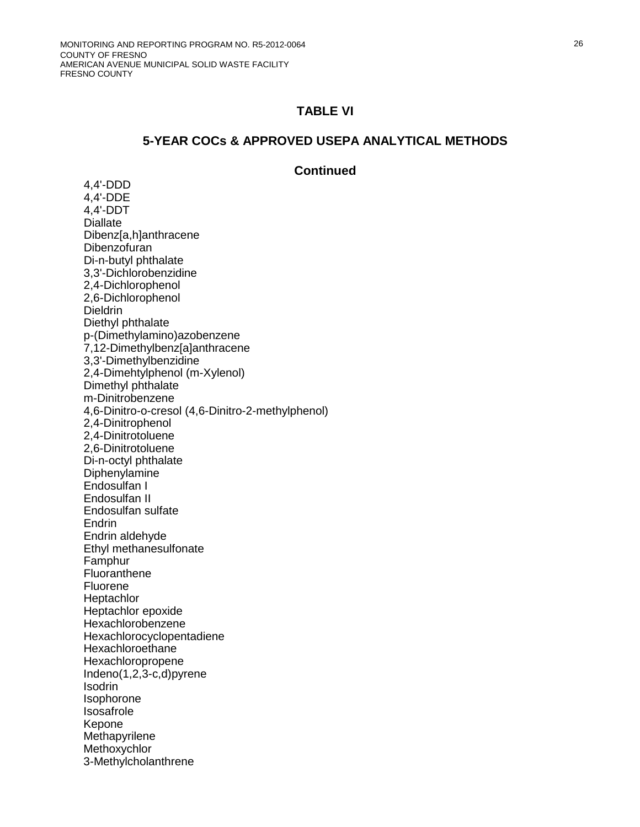#### **5-YEAR COCs & APPROVED USEPA ANALYTICAL METHODS**

#### **Continued**

4,4'-DDD 4,4'-DDE 4,4'-DDT **Diallate** Dibenz[a,h]anthracene **Dibenzofuran** Di-n-butyl phthalate 3,3'-Dichlorobenzidine 2,4-Dichlorophenol 2,6-Dichlorophenol **Dieldrin** Diethyl phthalate p-(Dimethylamino)azobenzene 7,12-Dimethylbenz[a]anthracene 3,3'-Dimethylbenzidine 2,4-Dimehtylphenol (m-Xylenol) Dimethyl phthalate m-Dinitrobenzene 4,6-Dinitro-o-cresol (4,6-Dinitro-2-methylphenol) 2,4-Dinitrophenol 2,4-Dinitrotoluene 2,6-Dinitrotoluene Di-n-octyl phthalate **Diphenylamine** Endosulfan I Endosulfan II Endosulfan sulfate **Endrin** Endrin aldehyde Ethyl methanesulfonate Famphur Fluoranthene Fluorene **Heptachlor** Heptachlor epoxide Hexachlorobenzene Hexachlorocyclopentadiene **Hexachloroethane** Hexachloropropene Indeno(1,2,3-c,d)pyrene **Isodrin** Isophorone Isosafrole Kepone **Methapyrilene Methoxychlor** 3-Methylcholanthrene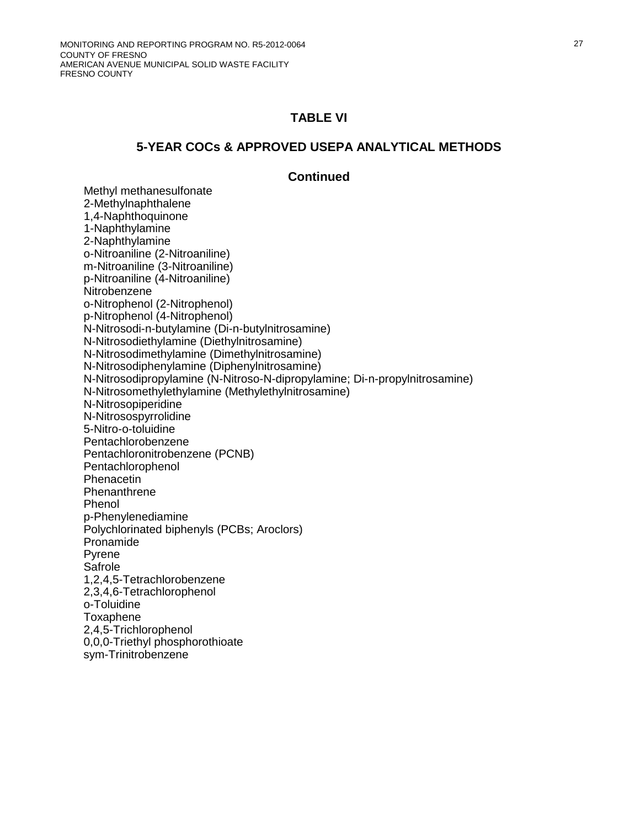#### **5-YEAR COCs & APPROVED USEPA ANALYTICAL METHODS**

#### **Continued**

Methyl methanesulfonate 2-Methylnaphthalene 1,4-Naphthoquinone 1-Naphthylamine 2-Naphthylamine o-Nitroaniline (2-Nitroaniline) m-Nitroaniline (3-Nitroaniline) p-Nitroaniline (4-Nitroaniline) **Nitrobenzene** o-Nitrophenol (2-Nitrophenol) p-Nitrophenol (4-Nitrophenol) N-Nitrosodi-n-butylamine (Di-n-butylnitrosamine) N-Nitrosodiethylamine (Diethylnitrosamine) N-Nitrosodimethylamine (Dimethylnitrosamine) N-Nitrosodiphenylamine (Diphenylnitrosamine) N-Nitrosodipropylamine (N-Nitroso-N-dipropylamine; Di-n-propylnitrosamine) N-Nitrosomethylethylamine (Methylethylnitrosamine) N-Nitrosopiperidine N-Nitrosospyrrolidine 5-Nitro-o-toluidine Pentachlorobenzene Pentachloronitrobenzene (PCNB) Pentachlorophenol Phenacetin **Phenanthrene** Phenol p-Phenylenediamine Polychlorinated biphenyls (PCBs; Aroclors) Pronamide Pyrene Safrole 1,2,4,5-Tetrachlorobenzene 2,3,4,6-Tetrachlorophenol o-Toluidine Toxaphene 2,4,5-Trichlorophenol 0,0,0-Triethyl phosphorothioate sym-Trinitrobenzene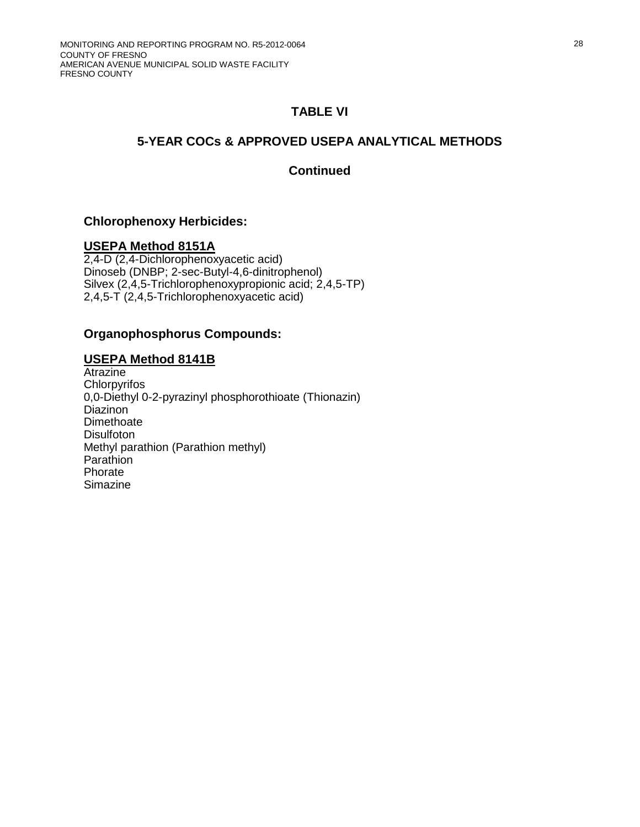## **5-YEAR COCs & APPROVED USEPA ANALYTICAL METHODS**

## **Continued**

### **Chlorophenoxy Herbicides:**

## **USEPA Method 8151A**

2,4-D (2,4-Dichlorophenoxyacetic acid) Dinoseb (DNBP; 2-sec-Butyl-4,6-dinitrophenol) Silvex (2,4,5-Trichlorophenoxypropionic acid; 2,4,5-TP) 2,4,5-T (2,4,5-Trichlorophenoxyacetic acid)

### **Organophosphorus Compounds:**

### **USEPA Method 8141B**

Atrazine **Chlorpyrifos** 0,0-Diethyl 0-2-pyrazinyl phosphorothioate (Thionazin) **Diazinon** Dimethoate **Disulfoton** Methyl parathion (Parathion methyl) **Parathion** Phorate Simazine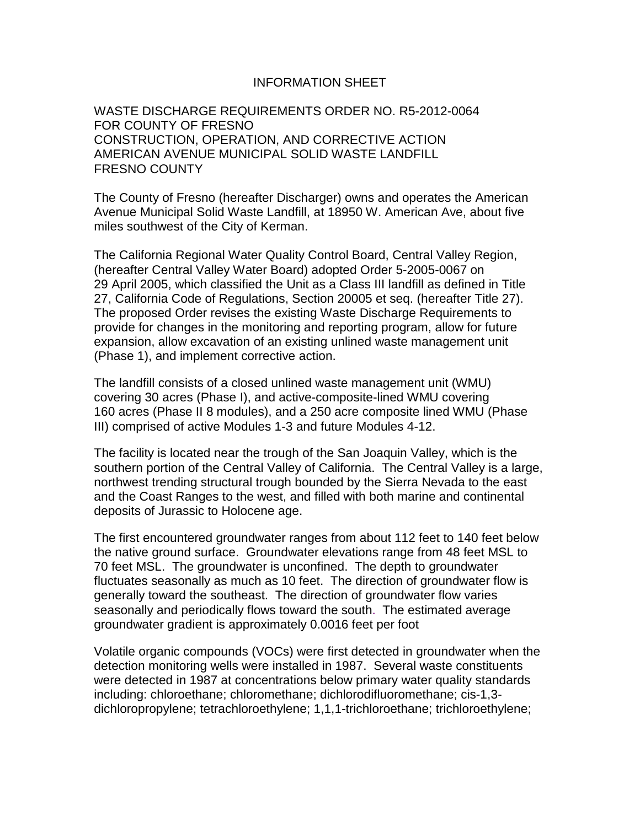### INFORMATION SHEET

WASTE DISCHARGE REQUIREMENTS ORDER NO. R5-2012-0064 FOR COUNTY OF FRESNO CONSTRUCTION, OPERATION, AND CORRECTIVE ACTION AMERICAN AVENUE MUNICIPAL SOLID WASTE LANDFILL FRESNO COUNTY

The County of Fresno (hereafter Discharger) owns and operates the American Avenue Municipal Solid Waste Landfill, at 18950 W. American Ave, about five miles southwest of the City of Kerman.

The California Regional Water Quality Control Board, Central Valley Region, (hereafter Central Valley Water Board) adopted Order 5-2005-0067 on 29 April 2005, which classified the Unit as a Class III landfill as defined in Title 27, California Code of Regulations, Section 20005 et seq. (hereafter Title 27). The proposed Order revises the existing Waste Discharge Requirements to provide for changes in the monitoring and reporting program, allow for future expansion, allow excavation of an existing unlined waste management unit (Phase 1), and implement corrective action.

The landfill consists of a closed unlined waste management unit (WMU) covering 30 acres (Phase I), and active-composite-lined WMU covering 160 acres (Phase II 8 modules), and a 250 acre composite lined WMU (Phase III) comprised of active Modules 1-3 and future Modules 4-12.

The facility is located near the trough of the San Joaquin Valley, which is the southern portion of the Central Valley of California. The Central Valley is a large, northwest trending structural trough bounded by the Sierra Nevada to the east and the Coast Ranges to the west, and filled with both marine and continental deposits of Jurassic to Holocene age.

The first encountered groundwater ranges from about 112 feet to 140 feet below the native ground surface. Groundwater elevations range from 48 feet MSL to 70 feet MSL. The groundwater is unconfined. The depth to groundwater fluctuates seasonally as much as 10 feet. The direction of groundwater flow is generally toward the southeast. The direction of groundwater flow varies seasonally and periodically flows toward the south. The estimated average groundwater gradient is approximately 0.0016 feet per foot

Volatile organic compounds (VOCs) were first detected in groundwater when the detection monitoring wells were installed in 1987. Several waste constituents were detected in 1987 at concentrations below primary water quality standards including: chloroethane; chloromethane; dichlorodifluoromethane; cis-1,3 dichloropropylene; tetrachloroethylene; 1,1,1-trichloroethane; trichloroethylene;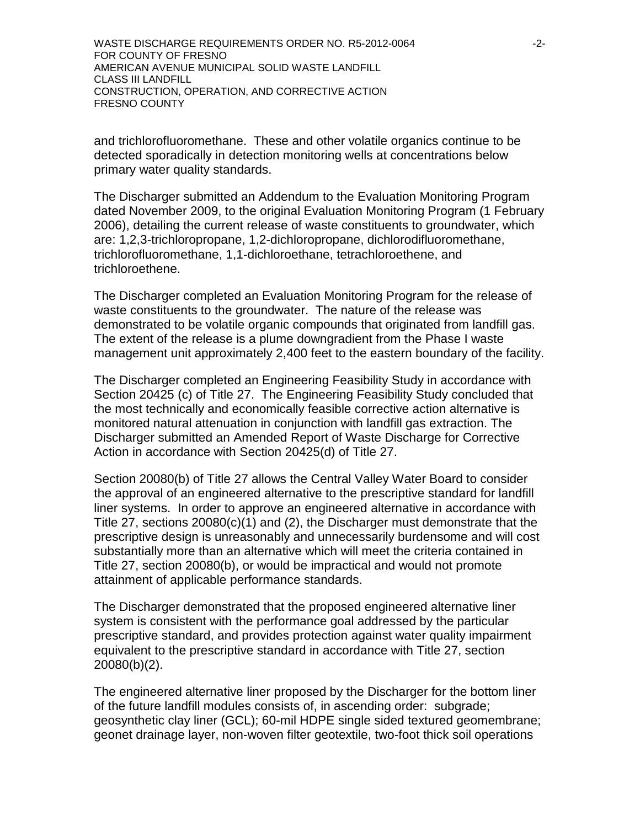WASTE DISCHARGE REQUIREMENTS ORDER NO. R5-2012-0064  $-2$ -FOR COUNTY OF FRESNO AMERICAN AVENUE MUNICIPAL SOLID WASTE LANDFILL CLASS III LANDFILL CONSTRUCTION, OPERATION, AND CORRECTIVE ACTION FRESNO COUNTY

and trichlorofluoromethane. These and other volatile organics continue to be detected sporadically in detection monitoring wells at concentrations below primary water quality standards.

The Discharger submitted an Addendum to the Evaluation Monitoring Program dated November 2009, to the original Evaluation Monitoring Program (1 February 2006), detailing the current release of waste constituents to groundwater, which are: 1,2,3-trichloropropane, 1,2-dichloropropane, dichlorodifluoromethane, trichlorofluoromethane, 1,1-dichloroethane, tetrachloroethene, and trichloroethene.

The Discharger completed an Evaluation Monitoring Program for the release of waste constituents to the groundwater. The nature of the release was demonstrated to be volatile organic compounds that originated from landfill gas. The extent of the release is a plume downgradient from the Phase I waste management unit approximately 2,400 feet to the eastern boundary of the facility.

The Discharger completed an Engineering Feasibility Study in accordance with Section 20425 (c) of Title 27. The Engineering Feasibility Study concluded that the most technically and economically feasible corrective action alternative is monitored natural attenuation in conjunction with landfill gas extraction. The Discharger submitted an Amended Report of Waste Discharge for Corrective Action in accordance with Section 20425(d) of Title 27.

Section 20080(b) of Title 27 allows the Central Valley Water Board to consider the approval of an engineered alternative to the prescriptive standard for landfill liner systems. In order to approve an engineered alternative in accordance with Title 27, sections 20080(c)(1) and (2), the Discharger must demonstrate that the prescriptive design is unreasonably and unnecessarily burdensome and will cost substantially more than an alternative which will meet the criteria contained in Title 27, section 20080(b), or would be impractical and would not promote attainment of applicable performance standards.

The Discharger demonstrated that the proposed engineered alternative liner system is consistent with the performance goal addressed by the particular prescriptive standard, and provides protection against water quality impairment equivalent to the prescriptive standard in accordance with Title 27, section 20080(b)(2).

The engineered alternative liner proposed by the Discharger for the bottom liner of the future landfill modules consists of, in ascending order: subgrade; geosynthetic clay liner (GCL); 60-mil HDPE single sided textured geomembrane; geonet drainage layer, non-woven filter geotextile, two-foot thick soil operations